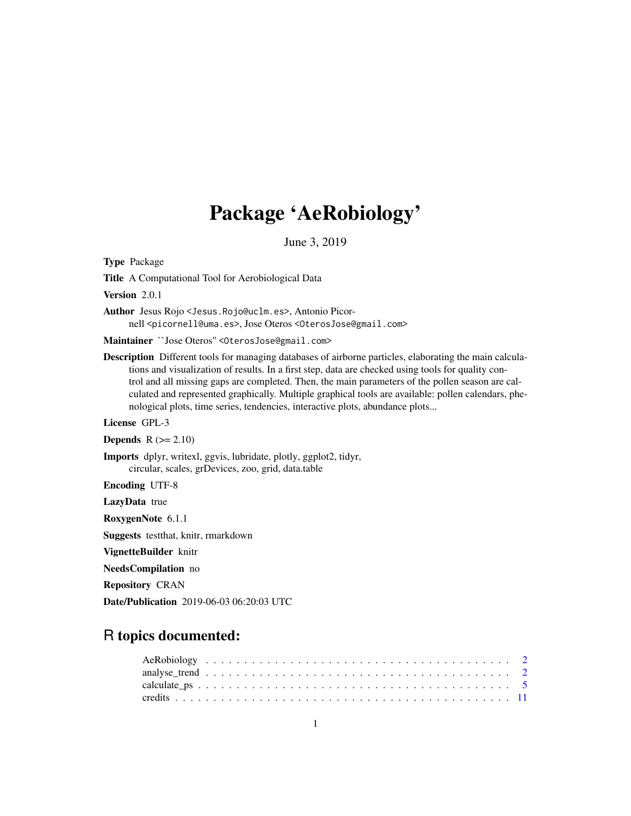# Package 'AeRobiology'

June 3, 2019

<span id="page-0-0"></span>Type Package

Title A Computational Tool for Aerobiological Data

Version 2.0.1

Author Jesus Rojo <Jesus.Rojo@uclm.es>, Antonio Picornell <picornell@uma.es>, Jose Oteros <OterosJose@gmail.com>

Maintainer ``Jose Oteros'' <OterosJose@gmail.com>

Description Different tools for managing databases of airborne particles, elaborating the main calculations and visualization of results. In a first step, data are checked using tools for quality control and all missing gaps are completed. Then, the main parameters of the pollen season are calculated and represented graphically. Multiple graphical tools are available: pollen calendars, phenological plots, time series, tendencies, interactive plots, abundance plots...

License GPL-3

Depends  $R$  ( $>= 2.10$ )

Imports dplyr, writexl, ggvis, lubridate, plotly, ggplot2, tidyr, circular, scales, grDevices, zoo, grid, data.table

Encoding UTF-8

LazyData true

RoxygenNote 6.1.1

Suggests testthat, knitr, rmarkdown

VignetteBuilder knitr

NeedsCompilation no

Repository CRAN

Date/Publication 2019-06-03 06:20:03 UTC

# R topics documented: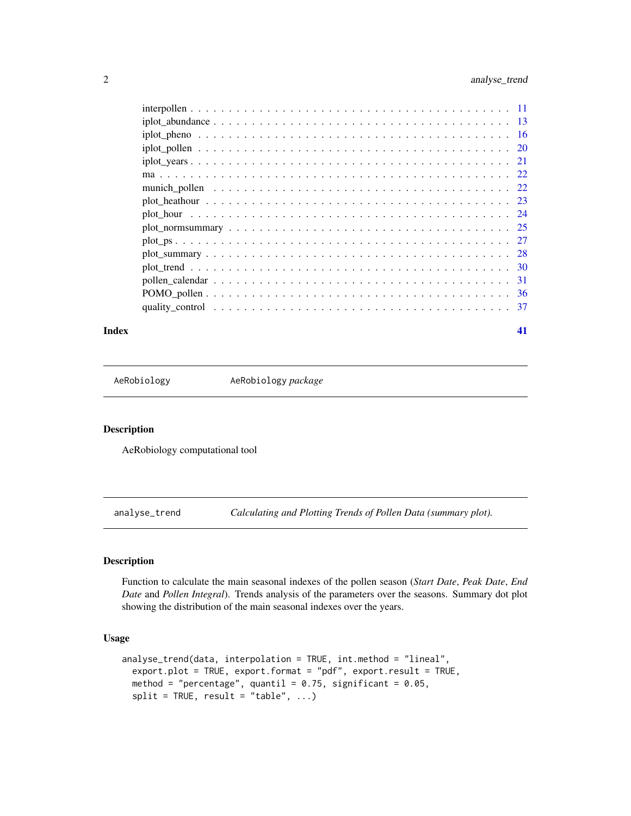<span id="page-1-0"></span>

|                                                                                                              | -36 |
|--------------------------------------------------------------------------------------------------------------|-----|
| quality control $\ldots \ldots \ldots \ldots \ldots \ldots \ldots \ldots \ldots \ldots \ldots \ldots \ldots$ |     |
|                                                                                                              |     |

## **Index** [41](#page-40-0)

AeRobiology AeRobiology *package*

## Description

AeRobiology computational tool

<span id="page-1-1"></span>analyse\_trend *Calculating and Plotting Trends of Pollen Data (summary plot).*

# Description

Function to calculate the main seasonal indexes of the pollen season (*Start Date*, *Peak Date*, *End Date* and *Pollen Integral*). Trends analysis of the parameters over the seasons. Summary dot plot showing the distribution of the main seasonal indexes over the years.

## Usage

```
analyse_trend(data, interpolation = TRUE, int.method = "lineal",
 export.plot = TRUE, export.format = "pdf", export.result = TRUE,
 method = "percentage", quantil = 0.75, significant = 0.05,
 split = TRUE, result = "table", ...)
```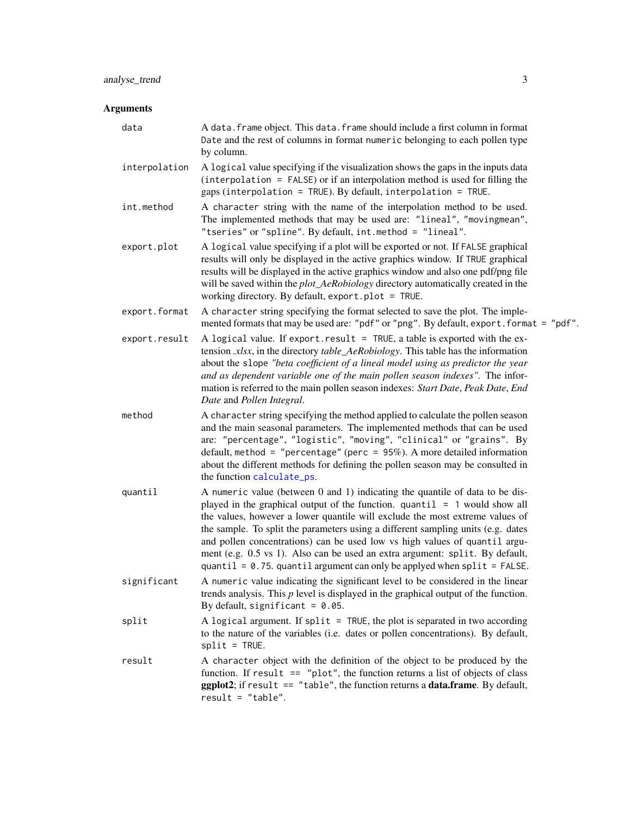<span id="page-2-0"></span>

| data          | A data. frame object. This data. frame should include a first column in format<br>Date and the rest of columns in format numeric belonging to each pollen type<br>by column.                                                                                                                                                                                                                                                                                                                                                                                                  |
|---------------|-------------------------------------------------------------------------------------------------------------------------------------------------------------------------------------------------------------------------------------------------------------------------------------------------------------------------------------------------------------------------------------------------------------------------------------------------------------------------------------------------------------------------------------------------------------------------------|
| interpolation | A logical value specifying if the visualization shows the gaps in the inputs data<br>$interpolation = FALSE$ or if an interpolation method is used for filling the<br>gaps (interpolation = TRUE). By default, interpolation = TRUE.                                                                                                                                                                                                                                                                                                                                          |
| int.method    | A character string with the name of the interpolation method to be used.<br>The implemented methods that may be used are: "lineal", "movingmean",<br>"tseries" or "spline". By default, int.method = "lineal".                                                                                                                                                                                                                                                                                                                                                                |
| export.plot   | A logical value specifying if a plot will be exported or not. If FALSE graphical<br>results will only be displayed in the active graphics window. If TRUE graphical<br>results will be displayed in the active graphics window and also one pdf/png file<br>will be saved within the <i>plot_AeRobiology</i> directory automatically created in the<br>working directory. By default, export.plot = TRUE.                                                                                                                                                                     |
| export.format | A character string specifying the format selected to save the plot. The imple-<br>mented formats that may be used are: "pdf" or "png". By default, export. format = "pdf".                                                                                                                                                                                                                                                                                                                                                                                                    |
| export.result | A logical value. If export.result = TRUE, a table is exported with the ex-<br>tension .xlsx, in the directory table_AeRobiology. This table has the information<br>about the slope "beta coefficient of a lineal model using as predictor the year<br>and as dependent variable one of the main pollen season indexes". The infor-<br>mation is referred to the main pollen season indexes: Start Date, Peak Date, End<br>Date and Pollen Integral.                                                                                                                           |
| method        | A character string specifying the method applied to calculate the pollen season<br>and the main seasonal parameters. The implemented methods that can be used<br>are: "percentage", "logistic", "moving", "clinical" or "grains". By<br>default, method = "percentage" (perc = $95\%$ ). A more detailed information<br>about the different methods for defining the pollen season may be consulted in<br>the function calculate_ps.                                                                                                                                          |
| quantil       | A numeric value (between 0 and 1) indicating the quantile of data to be dis-<br>played in the graphical output of the function. $quantil = 1$ would show all<br>the values, however a lower quantile will exclude the most extreme values of<br>the sample. To split the parameters using a different sampling units (e.g. dates<br>and pollen concentrations) can be used low vs high values of quantil argu-<br>ment (e.g. 0.5 vs 1). Also can be used an extra argument: split. By default,<br>quantil = $0.75$ . quantil argument can only be applyed when split = FALSE. |
| significant   | A numeric value indicating the significant level to be considered in the linear<br>trends analysis. This $p$ level is displayed in the graphical output of the function.<br>By default, significant = $0.05$ .                                                                                                                                                                                                                                                                                                                                                                |
| split         | A logical argument. If split = TRUE, the plot is separated in two according<br>to the nature of the variables (i.e. dates or pollen concentrations). By default,<br>$split = TRUE.$                                                                                                                                                                                                                                                                                                                                                                                           |
| result        | A character object with the definition of the object to be produced by the<br>function. If result $==$ "plot", the function returns a list of objects of class<br>$ggplot2$ ; if result == "table", the function returns a data.frame. By default,<br>$result = "table".$                                                                                                                                                                                                                                                                                                     |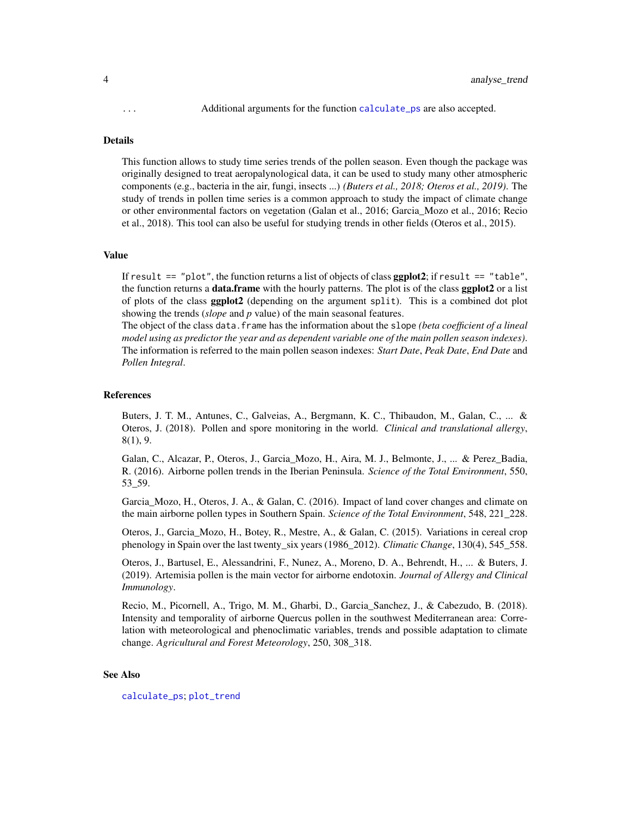<span id="page-3-0"></span>

This function allows to study time series trends of the pollen season. Even though the package was originally designed to treat aeropalynological data, it can be used to study many other atmospheric components (e.g., bacteria in the air, fungi, insects ...) *(Buters et al., 2018; Oteros et al., 2019)*. The study of trends in pollen time series is a common approach to study the impact of climate change or other environmental factors on vegetation (Galan et al., 2016; Garcia\_Mozo et al., 2016; Recio et al., 2018). This tool can also be useful for studying trends in other fields (Oteros et al., 2015).

#### Value

If result  $==$  "plot", the function returns a list of objects of class **ggplot2**; if result  $==$  "table", the function returns a data.frame with the hourly patterns. The plot is of the class ggplot2 or a list of plots of the class ggplot2 (depending on the argument split). This is a combined dot plot showing the trends (*slope* and *p* value) of the main seasonal features.

The object of the class data.frame has the information about the slope *(beta coefficient of a lineal model using as predictor the year and as dependent variable one of the main pollen season indexes)*. The information is referred to the main pollen season indexes: *Start Date*, *Peak Date*, *End Date* and *Pollen Integral*.

### References

Buters, J. T. M., Antunes, C., Galveias, A., Bergmann, K. C., Thibaudon, M., Galan, C., ... & Oteros, J. (2018). Pollen and spore monitoring in the world. *Clinical and translational allergy*, 8(1), 9.

Galan, C., Alcazar, P., Oteros, J., Garcia\_Mozo, H., Aira, M. J., Belmonte, J., ... & Perez\_Badia, R. (2016). Airborne pollen trends in the Iberian Peninsula. *Science of the Total Environment*, 550, 53\_59.

Garcia\_Mozo, H., Oteros, J. A., & Galan, C. (2016). Impact of land cover changes and climate on the main airborne pollen types in Southern Spain. *Science of the Total Environment*, 548, 221\_228.

Oteros, J., Garcia\_Mozo, H., Botey, R., Mestre, A., & Galan, C. (2015). Variations in cereal crop phenology in Spain over the last twenty\_six years (1986\_2012). *Climatic Change*, 130(4), 545\_558.

Oteros, J., Bartusel, E., Alessandrini, F., Nunez, A., Moreno, D. A., Behrendt, H., ... & Buters, J. (2019). Artemisia pollen is the main vector for airborne endotoxin. *Journal of Allergy and Clinical Immunology*.

Recio, M., Picornell, A., Trigo, M. M., Gharbi, D., Garcia\_Sanchez, J., & Cabezudo, B. (2018). Intensity and temporality of airborne Quercus pollen in the southwest Mediterranean area: Correlation with meteorological and phenoclimatic variables, trends and possible adaptation to climate change. *Agricultural and Forest Meteorology*, 250, 308\_318.

## See Also

[calculate\\_ps](#page-4-1); [plot\\_trend](#page-29-1)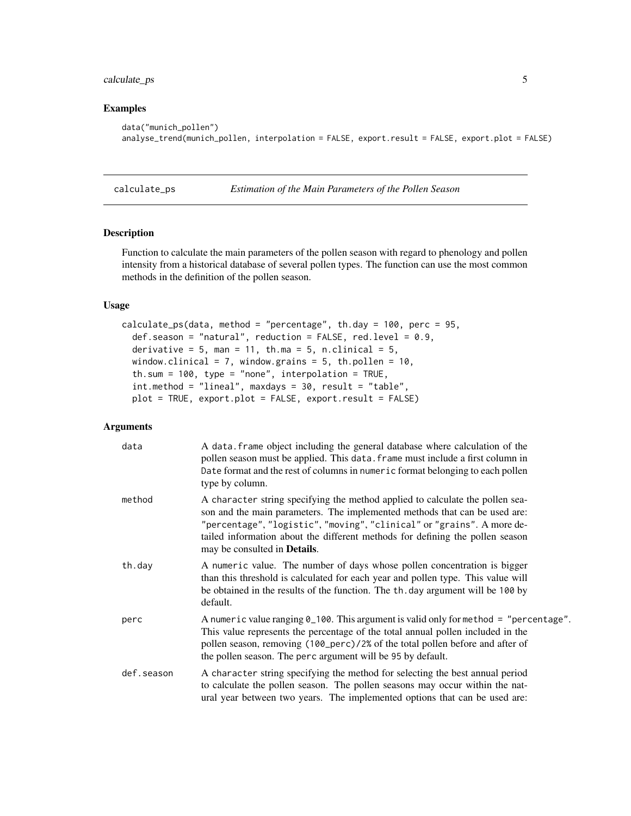# <span id="page-4-0"></span>calculate\_ps 5

## Examples

```
data("munich_pollen")
analyse_trend(munich_pollen, interpolation = FALSE, export.result = FALSE, export.plot = FALSE)
```
<span id="page-4-1"></span>

calculate\_ps *Estimation of the Main Parameters of the Pollen Season*

# Description

Function to calculate the main parameters of the pollen season with regard to phenology and pollen intensity from a historical database of several pollen types. The function can use the most common methods in the definition of the pollen season.

# Usage

```
calculate_ps(data, method = "percentage", th.day = 100, perc = 95,
  def.season = "natural", reduction = FALSE, red.level = 0.9,
  derivative = 5, man = 11, th.ma = 5, n.clinical = 5,
 window.clinical = 7, window.grains = 5, th.pollen = 10,
  th.sum = 100, type = "none", interpolation = TRUE,
  int.method = "lineal", maxdays = 30, result = "table",
  plot = TRUE, export.plot = FALSE, export.result = FALSE)
```

| data       | A data. frame object including the general database where calculation of the<br>pollen season must be applied. This data. frame must include a first column in<br>Date format and the rest of columns in numeric format belonging to each pollen<br>type by column.                                                                                            |
|------------|----------------------------------------------------------------------------------------------------------------------------------------------------------------------------------------------------------------------------------------------------------------------------------------------------------------------------------------------------------------|
| method     | A character string specifying the method applied to calculate the pollen sea-<br>son and the main parameters. The implemented methods that can be used are:<br>"percentage", "logistic", "moving", "clinical" or "grains". A more de-<br>tailed information about the different methods for defining the pollen season<br>may be consulted in <b>Details</b> . |
| th.day     | A numeric value. The number of days whose pollen concentration is bigger<br>than this threshold is calculated for each year and pollen type. This value will<br>be obtained in the results of the function. The th. day argument will be 100 by<br>default.                                                                                                    |
| perc       | A numeric value ranging $0_100$ . This argument is valid only for method = "percentage".<br>This value represents the percentage of the total annual pollen included in the<br>pollen season, removing (100_perc)/2% of the total pollen before and after of<br>the pollen season. The perc argument will be 95 by default.                                    |
| def.season | A character string specifying the method for selecting the best annual period<br>to calculate the pollen season. The pollen seasons may occur within the nat-<br>ural year between two years. The implemented options that can be used are:                                                                                                                    |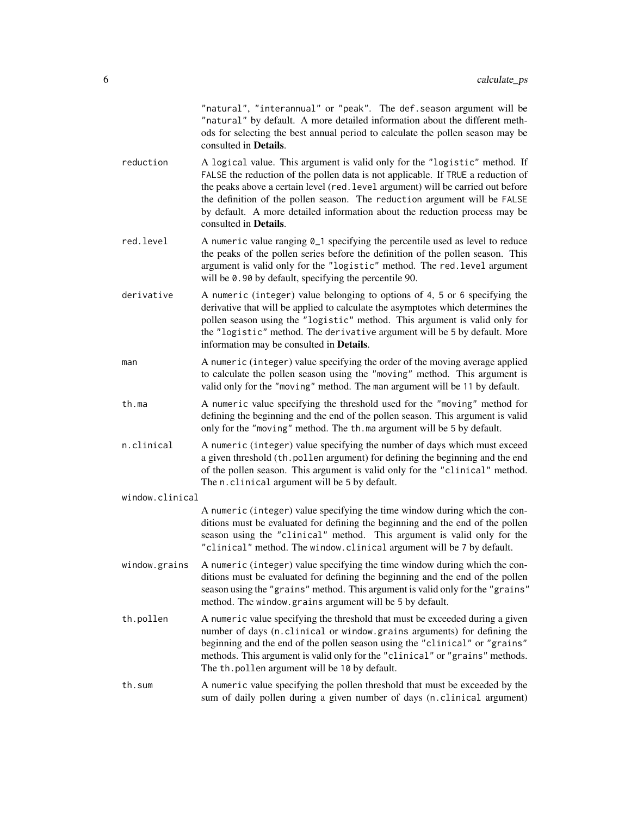"natural", "interannual" or "peak". The def.season argument will be "natural" by default. A more detailed information about the different methods for selecting the best annual period to calculate the pollen season may be consulted in Details.

- reduction A logical value. This argument is valid only for the "logistic" method. If FALSE the reduction of the pollen data is not applicable. If TRUE a reduction of the peaks above a certain level (red.level argument) will be carried out before the definition of the pollen season. The reduction argument will be FALSE by default. A more detailed information about the reduction process may be consulted in Details.
- red. level  $\Delta$  numeric value ranging  $\theta_{\perp}$  are specifying the percentile used as level to reduce the peaks of the pollen series before the definition of the pollen season. This argument is valid only for the "logistic" method. The red.level argument will be 0.90 by default, specifying the percentile 90.
- derivative A numeric (integer) value belonging to options of 4, 5 or 6 specifying the derivative that will be applied to calculate the asymptotes which determines the pollen season using the "logistic" method. This argument is valid only for the "logistic" method. The derivative argument will be 5 by default. More information may be consulted in Details.
- man A numeric (integer) value specifying the order of the moving average applied to calculate the pollen season using the "moving" method. This argument is valid only for the "moving" method. The man argument will be 11 by default.
- th.ma A numeric value specifying the threshold used for the "moving" method for defining the beginning and the end of the pollen season. This argument is valid only for the "moving" method. The th.ma argument will be 5 by default.
- n.clinical A numeric (integer) value specifying the number of days which must exceed a given threshold (th.pollen argument) for defining the beginning and the end of the pollen season. This argument is valid only for the "clinical" method. The n.clinical argument will be 5 by default.
- window.clinical

A numeric (integer) value specifying the time window during which the conditions must be evaluated for defining the beginning and the end of the pollen season using the "clinical" method. This argument is valid only for the "clinical" method. The window.clinical argument will be 7 by default.

- window.grains A numeric (integer) value specifying the time window during which the conditions must be evaluated for defining the beginning and the end of the pollen season using the "grains" method. This argument is valid only for the "grains" method. The window.grains argument will be 5 by default.
- th.pollen A numeric value specifying the threshold that must be exceeded during a given number of days (n.clinical or window.grains arguments) for defining the beginning and the end of the pollen season using the "clinical" or "grains" methods. This argument is valid only for the "clinical" or "grains" methods. The th.pollen argument will be 10 by default.
- th.sum A numeric value specifying the pollen threshold that must be exceeded by the sum of daily pollen during a given number of days (n.clinical argument)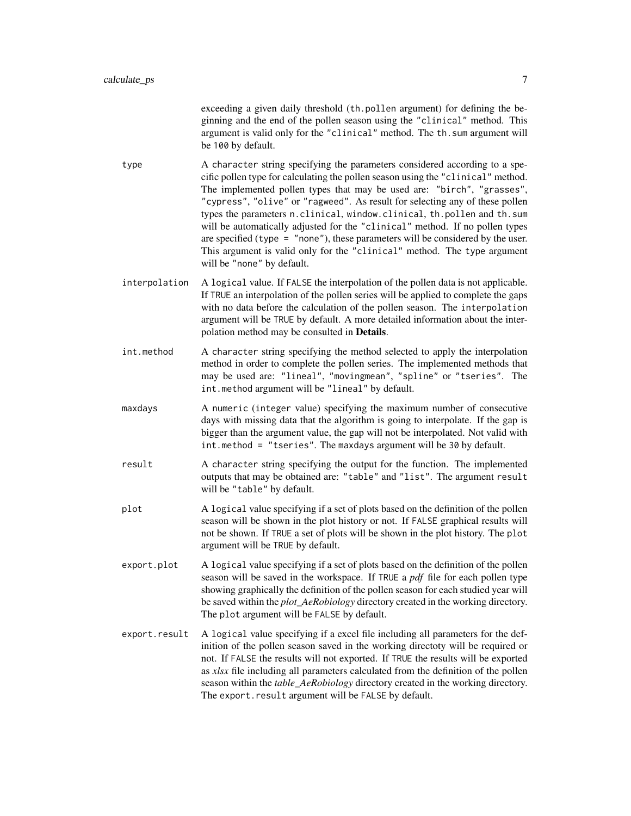exceeding a given daily threshold (th.pollen argument) for defining the beginning and the end of the pollen season using the "clinical" method. This argument is valid only for the "clinical" method. The th.sum argument will be 100 by default.

- type A character string specifying the parameters considered according to a specific pollen type for calculating the pollen season using the "clinical" method. The implemented pollen types that may be used are: "birch", "grasses", "cypress", "olive" or "ragweed". As result for selecting any of these pollen types the parameters n.clinical, window.clinical, th.pollen and th.sum will be automatically adjusted for the "clinical" method. If no pollen types are specified (type = "none"), these parameters will be considered by the user. This argument is valid only for the "clinical" method. The type argument will be "none" by default.
- interpolation A logical value. If FALSE the interpolation of the pollen data is not applicable. If TRUE an interpolation of the pollen series will be applied to complete the gaps with no data before the calculation of the pollen season. The interpolation argument will be TRUE by default. A more detailed information about the interpolation method may be consulted in Details.
- int.method A character string specifying the method selected to apply the interpolation method in order to complete the pollen series. The implemented methods that may be used are: "lineal", "movingmean", "spline" or "tseries". The int.method argument will be "lineal" by default.
- maxdays A numeric (integer value) specifying the maximum number of consecutive days with missing data that the algorithm is going to interpolate. If the gap is bigger than the argument value, the gap will not be interpolated. Not valid with int.method = "tseries". The maxdays argument will be 30 by default.
- result A character string specifying the output for the function. The implemented outputs that may be obtained are: "table" and "list". The argument result will be "table" by default.
- plot A logical value specifying if a set of plots based on the definition of the pollen season will be shown in the plot history or not. If FALSE graphical results will not be shown. If TRUE a set of plots will be shown in the plot history. The plot argument will be TRUE by default.
- export.plot A logical value specifying if a set of plots based on the definition of the pollen season will be saved in the workspace. If TRUE a *pdf* file for each pollen type showing graphically the definition of the pollen season for each studied year will be saved within the *plot\_AeRobiology* directory created in the working directory. The plot argument will be FALSE by default.
- export.result A logical value specifying if a excel file including all parameters for the definition of the pollen season saved in the working directoty will be required or not. If FALSE the results will not exported. If TRUE the results will be exported as *xlsx* file including all parameters calculated from the definition of the pollen season within the *table\_AeRobiology* directory created in the working directory. The export.result argument will be FALSE by default.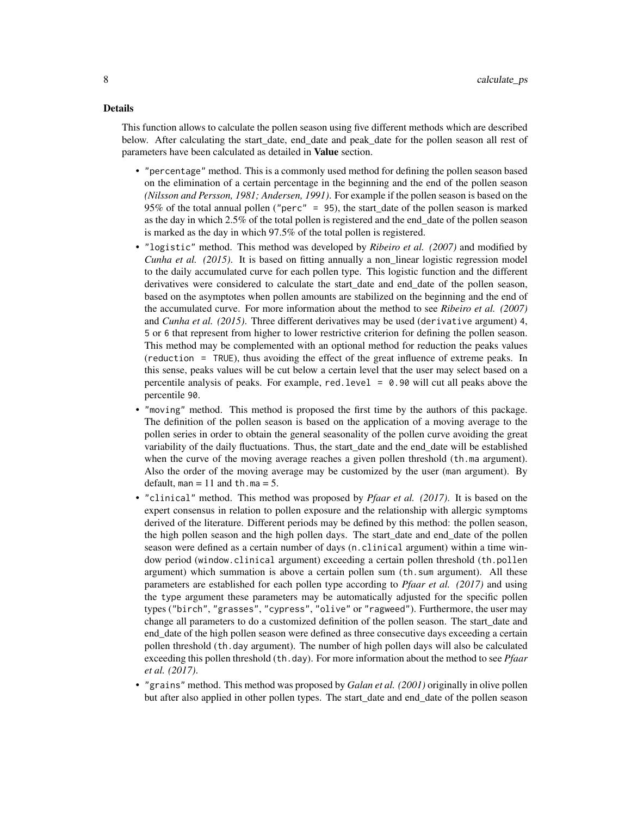This function allows to calculate the pollen season using five different methods which are described below. After calculating the start\_date, end\_date and peak\_date for the pollen season all rest of parameters have been calculated as detailed in Value section.

- "percentage" method. This is a commonly used method for defining the pollen season based on the elimination of a certain percentage in the beginning and the end of the pollen season *(Nilsson and Persson, 1981; Andersen, 1991)*. For example if the pollen season is based on the 95% of the total annual pollen ("perc" = 95), the start\_date of the pollen season is marked as the day in which  $2.5\%$  of the total pollen is registered and the end date of the pollen season is marked as the day in which 97.5% of the total pollen is registered.
- "logistic" method. This method was developed by *Ribeiro et al. (2007)* and modified by *Cunha et al. (2015)*. It is based on fitting annually a non\_linear logistic regression model to the daily accumulated curve for each pollen type. This logistic function and the different derivatives were considered to calculate the start\_date and end\_date of the pollen season, based on the asymptotes when pollen amounts are stabilized on the beginning and the end of the accumulated curve. For more information about the method to see *Ribeiro et al. (2007)* and *Cunha et al. (2015)*. Three different derivatives may be used (derivative argument) 4, 5 or 6 that represent from higher to lower restrictive criterion for defining the pollen season. This method may be complemented with an optional method for reduction the peaks values (reduction = TRUE), thus avoiding the effect of the great influence of extreme peaks. In this sense, peaks values will be cut below a certain level that the user may select based on a percentile analysis of peaks. For example, red. level  $= 0.90$  will cut all peaks above the percentile 90.
- "moving" method. This method is proposed the first time by the authors of this package. The definition of the pollen season is based on the application of a moving average to the pollen series in order to obtain the general seasonality of the pollen curve avoiding the great variability of the daily fluctuations. Thus, the start\_date and the end\_date will be established when the curve of the moving average reaches a given pollen threshold (th.ma argument). Also the order of the moving average may be customized by the user (man argument). By default,  $man = 11$  and th.ma = 5.
- "clinical" method. This method was proposed by *Pfaar et al. (2017)*. It is based on the expert consensus in relation to pollen exposure and the relationship with allergic symptoms derived of the literature. Different periods may be defined by this method: the pollen season, the high pollen season and the high pollen days. The start\_date and end\_date of the pollen season were defined as a certain number of days (n.clinical argument) within a time window period (window.clinical argument) exceeding a certain pollen threshold (th.pollen argument) which summation is above a certain pollen sum (th.sum argument). All these parameters are established for each pollen type according to *Pfaar et al. (2017)* and using the type argument these parameters may be automatically adjusted for the specific pollen types ("birch", "grasses", "cypress", "olive" or "ragweed"). Furthermore, the user may change all parameters to do a customized definition of the pollen season. The start\_date and end date of the high pollen season were defined as three consecutive days exceeding a certain pollen threshold (th.day argument). The number of high pollen days will also be calculated exceeding this pollen threshold (th.day). For more information about the method to see *Pfaar et al. (2017)*.
- "grains" method. This method was proposed by *Galan et al. (2001)* originally in olive pollen but after also applied in other pollen types. The start\_date and end\_date of the pollen season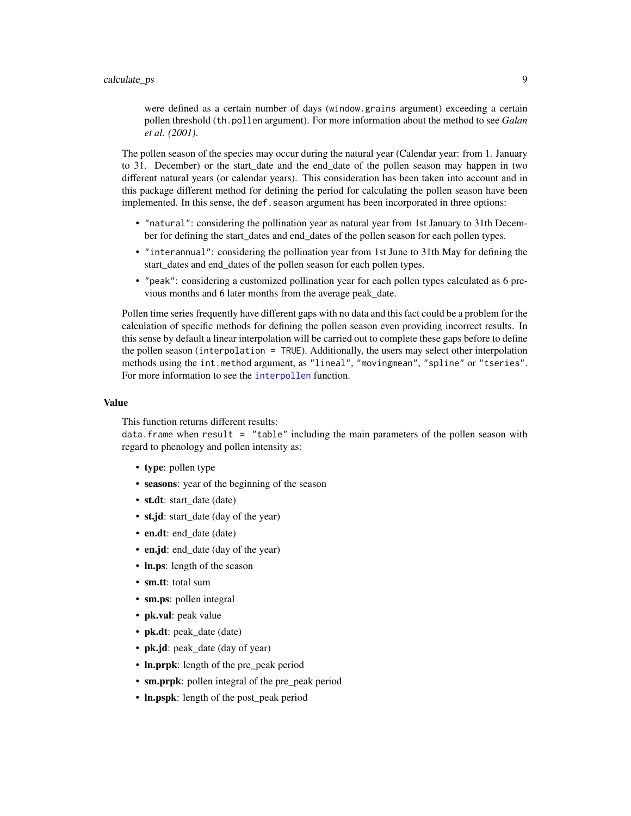<span id="page-8-0"></span>were defined as a certain number of days (window.grains argument) exceeding a certain pollen threshold (th.pollen argument). For more information about the method to see *Galan et al. (2001)*.

The pollen season of the species may occur during the natural year (Calendar year: from 1. January to 31. December) or the start\_date and the end\_date of the pollen season may happen in two different natural years (or calendar years). This consideration has been taken into account and in this package different method for defining the period for calculating the pollen season have been implemented. In this sense, the def. season argument has been incorporated in three options:

- "natural": considering the pollination year as natural year from 1st January to 31th December for defining the start\_dates and end\_dates of the pollen season for each pollen types.
- "interannual": considering the pollination year from 1st June to 31th May for defining the start\_dates and end\_dates of the pollen season for each pollen types.
- "peak": considering a customized pollination year for each pollen types calculated as 6 previous months and 6 later months from the average peak\_date.

Pollen time series frequently have different gaps with no data and this fact could be a problem for the calculation of specific methods for defining the pollen season even providing incorrect results. In this sense by default a linear interpolation will be carried out to complete these gaps before to define the pollen season (interpolation = TRUE). Additionally, the users may select other interpolation methods using the int.method argument, as "lineal", "movingmean", "spline" or "tseries". For more information to see the [interpollen](#page-10-1) function.

## Value

This function returns different results:

 $data.$  frame when result = "table" including the main parameters of the pollen season with regard to phenology and pollen intensity as:

- type: pollen type
- seasons: year of the beginning of the season
- st.dt: start\_date (date)
- st.jd: start date (day of the year)
- en.dt: end date (date)
- en.jd: end\_date (day of the year)
- In.ps: length of the season
- sm.tt: total sum
- sm.ps: pollen integral
- **pk.val**: peak value
- pk.dt: peak date (date)
- pk.jd: peak\_date (day of year)
- ln.prpk: length of the pre\_peak period
- sm.prpk: pollen integral of the pre\_peak period
- ln.pspk: length of the post\_peak period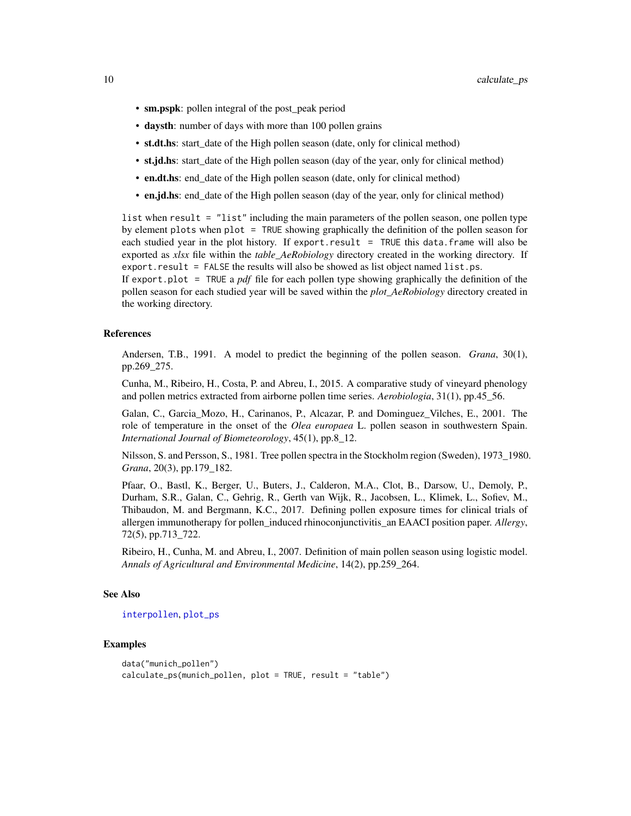- <span id="page-9-0"></span>• sm.pspk: pollen integral of the post\_peak period
- daysth: number of days with more than 100 pollen grains
- st.dt.hs: start date of the High pollen season (date, only for clinical method)
- st.jd.hs: start date of the High pollen season (day of the year, only for clinical method)
- en.dt.hs: end date of the High pollen season (date, only for clinical method)
- en.jd.hs: end date of the High pollen season (day of the year, only for clinical method)

list when result = "list" including the main parameters of the pollen season, one pollen type by element plots when plot = TRUE showing graphically the definition of the pollen season for each studied year in the plot history. If export.result = TRUE this data.frame will also be exported as *xlsx* file within the *table\_AeRobiology* directory created in the working directory. If export.result = FALSE the results will also be showed as list object named list.ps.

If export.plot = TRUE a *pdf* file for each pollen type showing graphically the definition of the pollen season for each studied year will be saved within the *plot\_AeRobiology* directory created in the working directory.

## References

Andersen, T.B., 1991. A model to predict the beginning of the pollen season. *Grana*, 30(1), pp.269\_275.

Cunha, M., Ribeiro, H., Costa, P. and Abreu, I., 2015. A comparative study of vineyard phenology and pollen metrics extracted from airborne pollen time series. *Aerobiologia*, 31(1), pp.45\_56.

Galan, C., Garcia\_Mozo, H., Carinanos, P., Alcazar, P. and Dominguez\_Vilches, E., 2001. The role of temperature in the onset of the *Olea europaea* L. pollen season in southwestern Spain. *International Journal of Biometeorology*, 45(1), pp.8\_12.

Nilsson, S. and Persson, S., 1981. Tree pollen spectra in the Stockholm region (Sweden), 1973\_1980. *Grana*, 20(3), pp.179\_182.

Pfaar, O., Bastl, K., Berger, U., Buters, J., Calderon, M.A., Clot, B., Darsow, U., Demoly, P., Durham, S.R., Galan, C., Gehrig, R., Gerth van Wijk, R., Jacobsen, L., Klimek, L., Sofiev, M., Thibaudon, M. and Bergmann, K.C., 2017. Defining pollen exposure times for clinical trials of allergen immunotherapy for pollen\_induced rhinoconjunctivitis\_an EAACI position paper. *Allergy*, 72(5), pp.713\_722.

Ribeiro, H., Cunha, M. and Abreu, I., 2007. Definition of main pollen season using logistic model. *Annals of Agricultural and Environmental Medicine*, 14(2), pp.259\_264.

# See Also

[interpollen](#page-10-1), [plot\\_ps](#page-26-1)

## Examples

```
data("munich_pollen")
calculate_ps(munich_pollen, plot = TRUE, result = "table")
```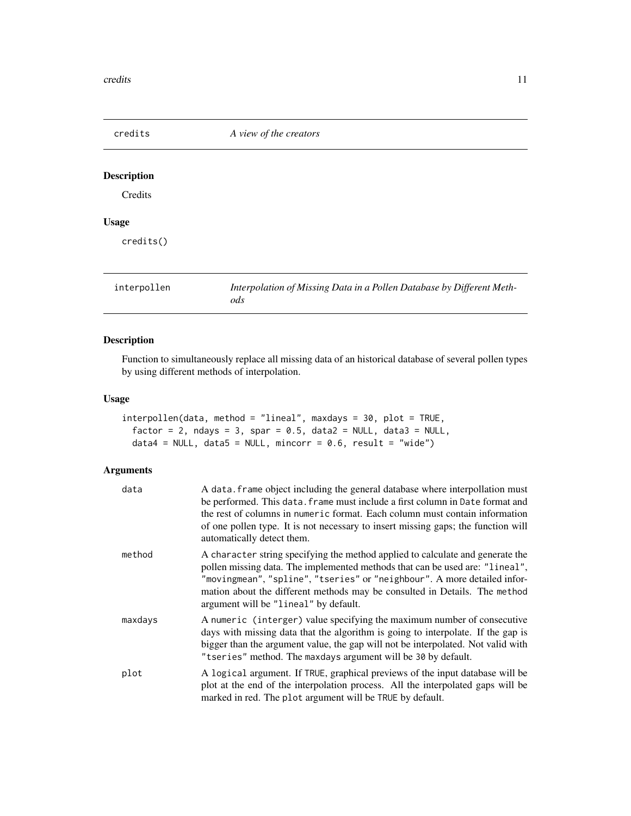<span id="page-10-0"></span>

| credits            | A view of the creators                                                       |
|--------------------|------------------------------------------------------------------------------|
| <b>Description</b> |                                                                              |
| Credits            |                                                                              |
| <b>Usage</b>       |                                                                              |
| credits()          |                                                                              |
| interpollen        | Interpolation of Missing Data in a Pollen Database by Different Meth-<br>ods |

# <span id="page-10-1"></span>Description

Function to simultaneously replace all missing data of an historical database of several pollen types by using different methods of interpolation.

# Usage

```
interpollen(data, method = "lineal", maxdays = 30, plot = TRUE,
  factor = 2, ndays = 3, spar = 0.5, data2 = NULL, data3 = NULL,
 data4 = NULL, data5 = NULL, mincorr = 0.6, result = "wide")
```

| data    | A data. frame object including the general database where interpollation must<br>be performed. This data. frame must include a first column in Date format and<br>the rest of columns in numeric format. Each column must contain information<br>of one pollen type. It is not necessary to insert missing gaps; the function will<br>automatically detect them.  |
|---------|-------------------------------------------------------------------------------------------------------------------------------------------------------------------------------------------------------------------------------------------------------------------------------------------------------------------------------------------------------------------|
| method  | A character string specifying the method applied to calculate and generate the<br>pollen missing data. The implemented methods that can be used are: "lineal",<br>"movingmean", "spline", "tseries" or "neighbour". A more detailed infor-<br>mation about the different methods may be consulted in Details. The method<br>argument will be "lineal" by default. |
| maxdays | A numeric (interger) value specifying the maximum number of consecutive<br>days with missing data that the algorithm is going to interpolate. If the gap is<br>bigger than the argument value, the gap will not be interpolated. Not valid with<br>"tseries" method. The maxdays argument will be 30 by default.                                                  |
| plot    | A logical argument. If TRUE, graphical previews of the input database will be<br>plot at the end of the interpolation process. All the interpolated gaps will be<br>marked in red. The plot argument will be TRUE by default.                                                                                                                                     |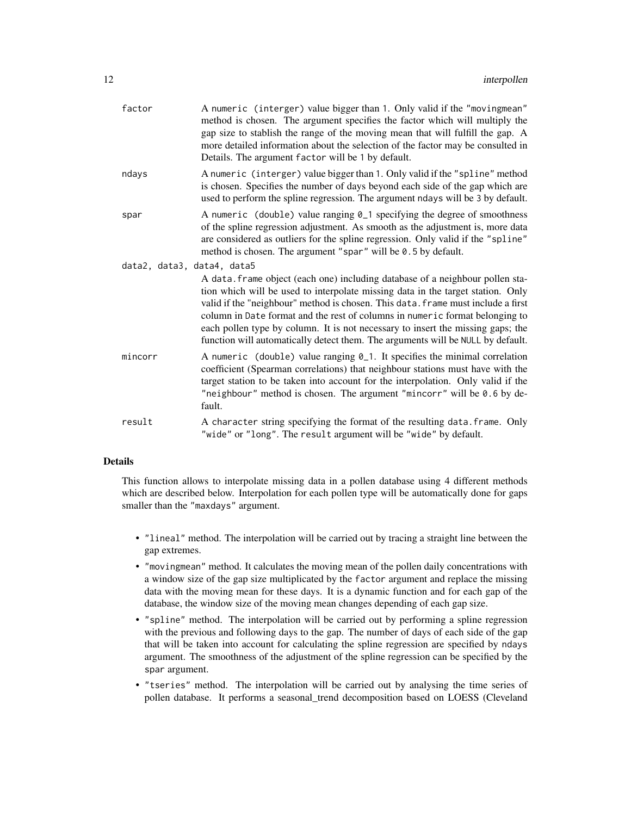| factor                     | A numeric (interger) value bigger than 1. Only valid if the "movingmean"<br>method is chosen. The argument specifies the factor which will multiply the<br>gap size to stablish the range of the moving mean that will fulfill the gap. A<br>more detailed information about the selection of the factor may be consulted in<br>Details. The argument factor will be 1 by default.                                                                                                                         |
|----------------------------|------------------------------------------------------------------------------------------------------------------------------------------------------------------------------------------------------------------------------------------------------------------------------------------------------------------------------------------------------------------------------------------------------------------------------------------------------------------------------------------------------------|
| ndays                      | A numeric (interger) value bigger than 1. Only valid if the "spline" method<br>is chosen. Specifies the number of days beyond each side of the gap which are<br>used to perform the spline regression. The argument ndays will be 3 by default.                                                                                                                                                                                                                                                            |
| spar                       | A numeric (double) value ranging 0_1 specifying the degree of smoothness<br>of the spline regression adjustment. As smooth as the adjustment is, more data<br>are considered as outliers for the spline regression. Only valid if the "spline"<br>method is chosen. The argument "spar" will be 0.5 by default.                                                                                                                                                                                            |
| data2, data3, data4, data5 | A data. frame object (each one) including database of a neighbour pollen sta-<br>tion which will be used to interpolate missing data in the target station. Only<br>valid if the "neighbour" method is chosen. This data. frame must include a first<br>column in Date format and the rest of columns in numeric format belonging to<br>each pollen type by column. It is not necessary to insert the missing gaps; the<br>function will automatically detect them. The arguments will be NULL by default. |
| mincorr                    | A numeric (double) value ranging 0_1. It specifies the minimal correlation<br>coefficient (Spearman correlations) that neighbour stations must have with the<br>target station to be taken into account for the interpolation. Only valid if the<br>"neighbour" method is chosen. The argument "mincorr" will be 0.6 by de-<br>fault.                                                                                                                                                                      |
| result                     | A character string specifying the format of the resulting data. frame. Only<br>"wide" or "long". The result argument will be "wide" by default.                                                                                                                                                                                                                                                                                                                                                            |

This function allows to interpolate missing data in a pollen database using 4 different methods which are described below. Interpolation for each pollen type will be automatically done for gaps smaller than the "maxdays" argument.

- "lineal" method. The interpolation will be carried out by tracing a straight line between the gap extremes.
- "movingmean" method. It calculates the moving mean of the pollen daily concentrations with a window size of the gap size multiplicated by the factor argument and replace the missing data with the moving mean for these days. It is a dynamic function and for each gap of the database, the window size of the moving mean changes depending of each gap size.
- "spline" method. The interpolation will be carried out by performing a spline regression with the previous and following days to the gap. The number of days of each side of the gap that will be taken into account for calculating the spline regression are specified by ndays argument. The smoothness of the adjustment of the spline regression can be specified by the spar argument.
- "tseries" method. The interpolation will be carried out by analysing the time series of pollen database. It performs a seasonal\_trend decomposition based on LOESS (Cleveland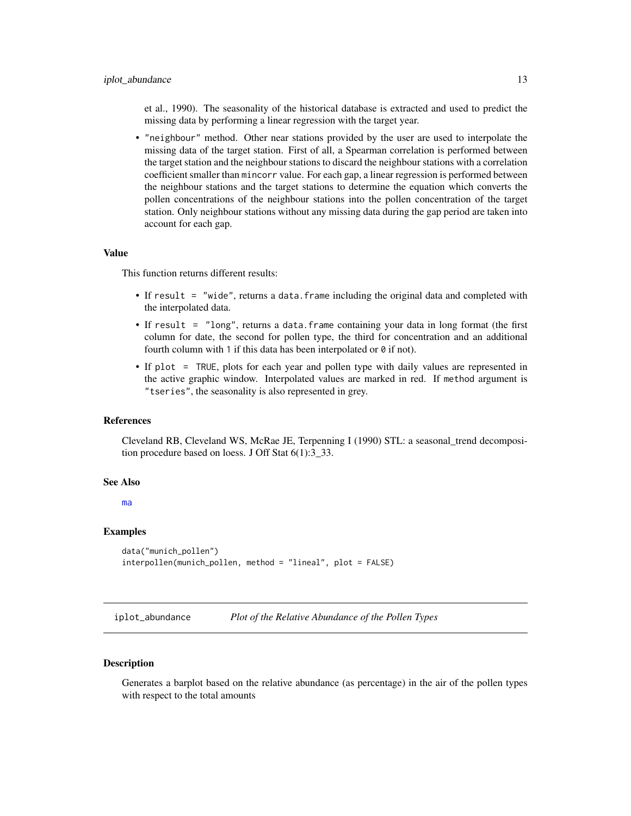<span id="page-12-0"></span>et al., 1990). The seasonality of the historical database is extracted and used to predict the missing data by performing a linear regression with the target year.

• "neighbour" method. Other near stations provided by the user are used to interpolate the missing data of the target station. First of all, a Spearman correlation is performed between the target station and the neighbour stations to discard the neighbour stations with a correlation coefficient smaller than mincorr value. For each gap, a linear regression is performed between the neighbour stations and the target stations to determine the equation which converts the pollen concentrations of the neighbour stations into the pollen concentration of the target station. Only neighbour stations without any missing data during the gap period are taken into account for each gap.

#### Value

This function returns different results:

- If result = "wide", returns a data. frame including the original data and completed with the interpolated data.
- If result = "long", returns a data.frame containing your data in long format (the first column for date, the second for pollen type, the third for concentration and an additional fourth column with 1 if this data has been interpolated or  $\theta$  if not).
- If plot = TRUE, plots for each year and pollen type with daily values are represented in the active graphic window. Interpolated values are marked in red. If method argument is "tseries", the seasonality is also represented in grey.

#### References

Cleveland RB, Cleveland WS, McRae JE, Terpenning I (1990) STL: a seasonal\_trend decomposition procedure based on loess. J Off Stat 6(1):3\_33.

#### See Also

[ma](#page-21-1)

## Examples

```
data("munich_pollen")
interpollen(munich_pollen, method = "lineal", plot = FALSE)
```
iplot\_abundance *Plot of the Relative Abundance of the Pollen Types*

## Description

Generates a barplot based on the relative abundance (as percentage) in the air of the pollen types with respect to the total amounts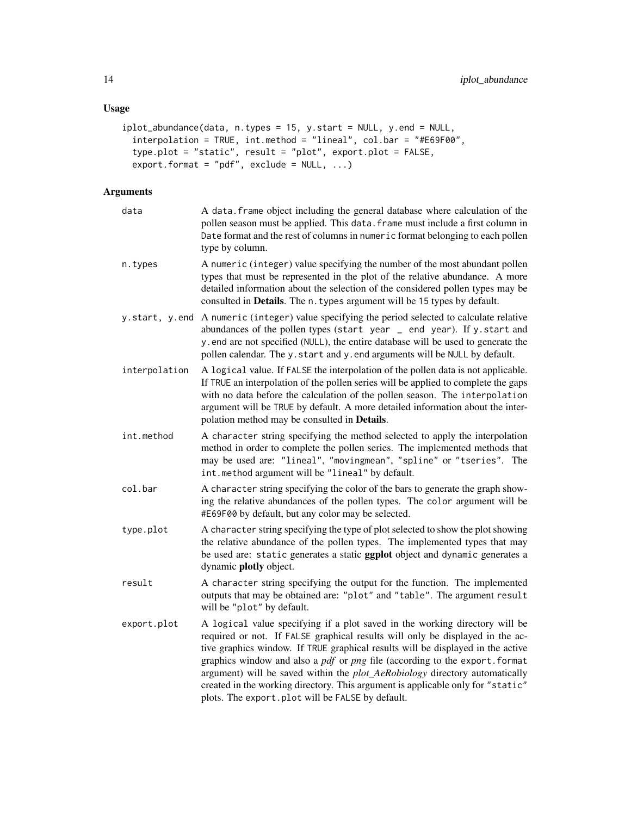# Usage

```
iplot_abundance(data, n.types = 15, y.start = NULL, y.end = NULL,
 interpolation = TRUE, int.method = "lineal", col.bar = "#E69F00",
 type.plot = "static", result = "plot", export.plot = FALSE,
 export.format = "pdf", exclude = NULL, ...)
```

| data          | A data. frame object including the general database where calculation of the<br>pollen season must be applied. This data. frame must include a first column in<br>Date format and the rest of columns in numeric format belonging to each pollen<br>type by column.                                                                                                                                                                                                                                                                                               |
|---------------|-------------------------------------------------------------------------------------------------------------------------------------------------------------------------------------------------------------------------------------------------------------------------------------------------------------------------------------------------------------------------------------------------------------------------------------------------------------------------------------------------------------------------------------------------------------------|
| n.types       | A numeric (integer) value specifying the number of the most abundant pollen<br>types that must be represented in the plot of the relative abundance. A more<br>detailed information about the selection of the considered pollen types may be<br>consulted in Details. The n. types argument will be 15 types by default.                                                                                                                                                                                                                                         |
|               | y.start, y.end A numeric (integer) value specifying the period selected to calculate relative<br>abundances of the pollen types (start year _ end year). If y. start and<br>y end are not specified (NULL), the entire database will be used to generate the<br>pollen calendar. The y.start and y.end arguments will be NULL by default.                                                                                                                                                                                                                         |
| interpolation | A logical value. If FALSE the interpolation of the pollen data is not applicable.<br>If TRUE an interpolation of the pollen series will be applied to complete the gaps<br>with no data before the calculation of the pollen season. The interpolation<br>argument will be TRUE by default. A more detailed information about the inter-<br>polation method may be consulted in Details.                                                                                                                                                                          |
| int.method    | A character string specifying the method selected to apply the interpolation<br>method in order to complete the pollen series. The implemented methods that<br>may be used are: "lineal", "movingmean", "spline" or "tseries". The<br>int.method argument will be "lineal" by default.                                                                                                                                                                                                                                                                            |
| col.bar       | A character string specifying the color of the bars to generate the graph show-<br>ing the relative abundances of the pollen types. The color argument will be<br>#E69F00 by default, but any color may be selected.                                                                                                                                                                                                                                                                                                                                              |
| type.plot     | A character string specifying the type of plot selected to show the plot showing<br>the relative abundance of the pollen types. The implemented types that may<br>be used are: static generates a static ggplot object and dynamic generates a<br>dynamic plotly object.                                                                                                                                                                                                                                                                                          |
| result        | A character string specifying the output for the function. The implemented<br>outputs that may be obtained are: "plot" and "table". The argument result<br>will be "plot" by default.                                                                                                                                                                                                                                                                                                                                                                             |
| export.plot   | A logical value specifying if a plot saved in the working directory will be<br>required or not. If FALSE graphical results will only be displayed in the ac-<br>tive graphics window. If TRUE graphical results will be displayed in the active<br>graphics window and also a <i>pdf</i> or <i>png</i> file (according to the export.format<br>argument) will be saved within the plot_AeRobiology directory automatically<br>created in the working directory. This argument is applicable only for "static"<br>plots. The export.plot will be FALSE by default. |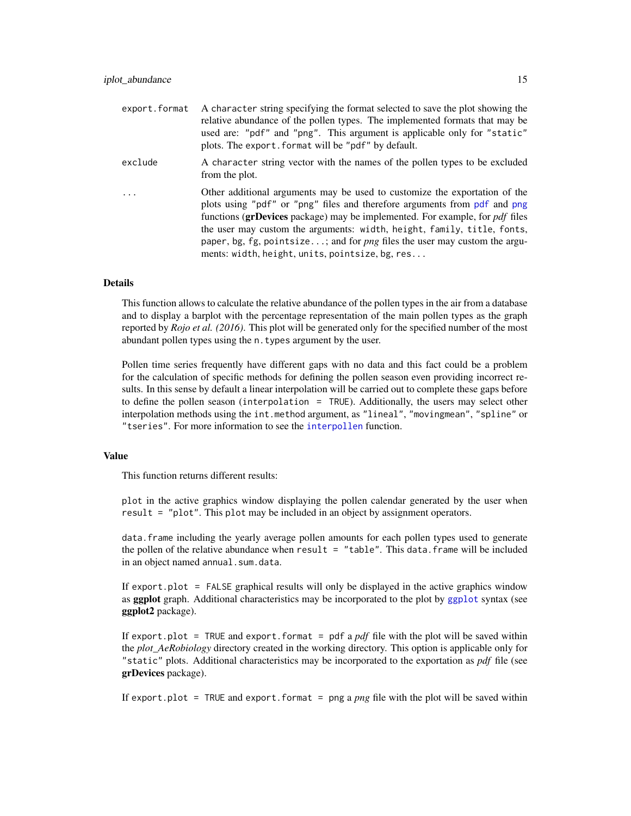<span id="page-14-0"></span>

| export.format | A character string specifying the format selected to save the plot showing the<br>relative abundance of the pollen types. The implemented formats that may be<br>used are: "pdf" and "png". This argument is applicable only for "static"<br>plots. The export. format will be "pdf" by default.                                                                                                                                                                 |
|---------------|------------------------------------------------------------------------------------------------------------------------------------------------------------------------------------------------------------------------------------------------------------------------------------------------------------------------------------------------------------------------------------------------------------------------------------------------------------------|
| exclude       | A character string vector with the names of the pollen types to be excluded<br>from the plot.                                                                                                                                                                                                                                                                                                                                                                    |
|               | Other additional arguments may be used to customize the exportation of the<br>plots using "pdf" or "png" files and therefore arguments from pdf and png<br>functions (grDevices package) may be implemented. For example, for <i>pdf</i> files<br>the user may custom the arguments: width, height, family, title, fonts,<br>paper, bg, fg, pointsize; and for <i>png</i> files the user may custom the argu-<br>ments: width, height, units, pointsize, bg, res |

This function allows to calculate the relative abundance of the pollen types in the air from a database and to display a barplot with the percentage representation of the main pollen types as the graph reported by *Rojo et al. (2016)*. This plot will be generated only for the specified number of the most abundant pollen types using the n.types argument by the user.

Pollen time series frequently have different gaps with no data and this fact could be a problem for the calculation of specific methods for defining the pollen season even providing incorrect results. In this sense by default a linear interpolation will be carried out to complete these gaps before to define the pollen season (interpolation = TRUE). Additionally, the users may select other interpolation methods using the int.method argument, as "lineal", "movingmean", "spline" or "tseries". For more information to see the [interpollen](#page-10-1) function.

## Value

This function returns different results:

plot in the active graphics window displaying the pollen calendar generated by the user when result = "plot". This plot may be included in an object by assignment operators.

data. frame including the yearly average pollen amounts for each pollen types used to generate the pollen of the relative abundance when result  $=$  "table". This data. frame will be included in an object named annual.sum.data.

If export.plot = FALSE graphical results will only be displayed in the active graphics window as [ggplot](#page-0-0) graph. Additional characteristics may be incorporated to the plot by ggplot syntax (see ggplot2 package).

If export.plot = TRUE and export.format = pdf a  $pdf$  file with the plot will be saved within the *plot AeRobiology* directory created in the working directory. This option is applicable only for "static" plots. Additional characteristics may be incorporated to the exportation as *pdf* file (see grDevices package).

If export.plot = TRUE and export.format = png a *png* file with the plot will be saved within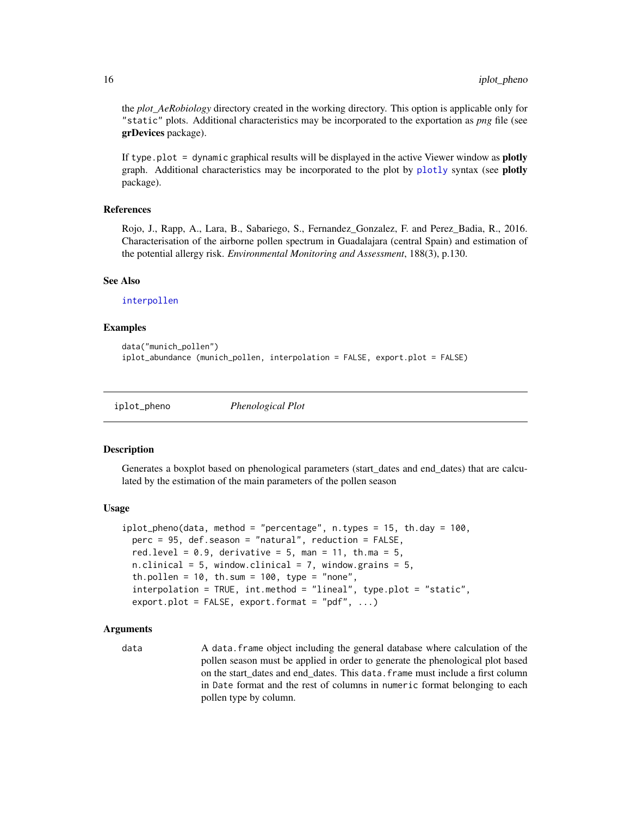the *plot\_AeRobiology* directory created in the working directory. This option is applicable only for "static" plots. Additional characteristics may be incorporated to the exportation as *png* file (see grDevices package).

If type.plot  $=$  dynamic graphical results will be displayed in the active Viewer window as **plotly** graph. Additional characteristics may be incorporated to the plot by [plotly](#page-0-0) syntax (see plotly package).

## References

Rojo, J., Rapp, A., Lara, B., Sabariego, S., Fernandez\_Gonzalez, F. and Perez\_Badia, R., 2016. Characterisation of the airborne pollen spectrum in Guadalajara (central Spain) and estimation of the potential allergy risk. *Environmental Monitoring and Assessment*, 188(3), p.130.

#### See Also

[interpollen](#page-10-1)

## Examples

```
data("munich_pollen")
iplot_abundance (munich_pollen, interpolation = FALSE, export.plot = FALSE)
```
iplot\_pheno *Phenological Plot*

#### **Description**

Generates a boxplot based on phenological parameters (start\_dates and end\_dates) that are calculated by the estimation of the main parameters of the pollen season

#### Usage

```
iplot_{\rho}heno(data, method = "percentage", n.types = 15, th.day = 100,
  perc = 95, def.season = "natural", reduction = FALSE,
  red.level = 0.9, derivative = 5, man = 11, th.ma = 5,
  n.clinical = 5, window.clinical = 7, window.grains = 5,
  th.pollen = 10, th.sum = 100, type = "none",
  interpolation = TRUE, int.method = "lineal", type.plot = "static",
  export.plot = FALSE, export.format = "pdf", ...)
```
## Arguments

data A data. Frame object including the general database where calculation of the pollen season must be applied in order to generate the phenological plot based on the start\_dates and end\_dates. This data.frame must include a first column in Date format and the rest of columns in numeric format belonging to each pollen type by column.

<span id="page-15-0"></span>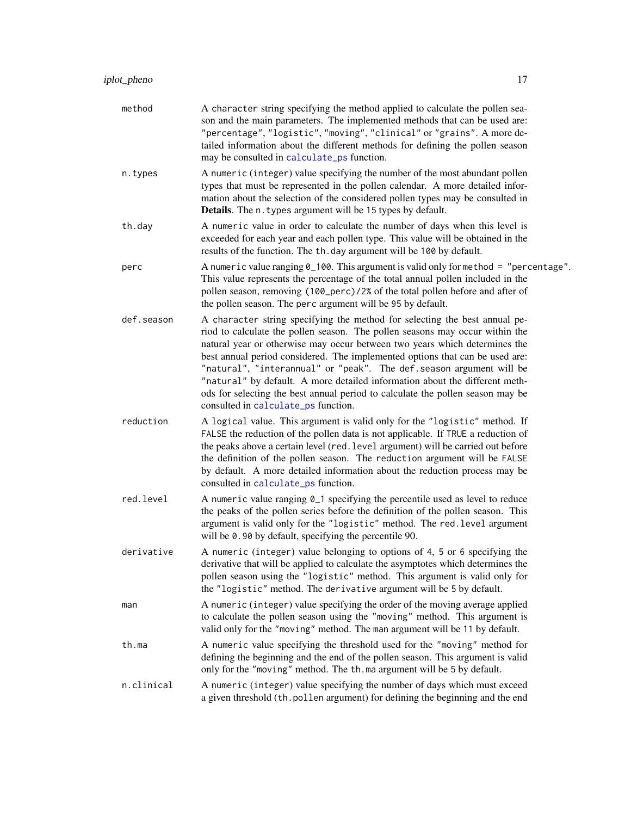<span id="page-16-0"></span>

| method     | A character string specifying the method applied to calculate the pollen sea-<br>son and the main parameters. The implemented methods that can be used are:<br>"percentage", "logistic", "moving", "clinical" or "grains". A more de-<br>tailed information about the different methods for defining the pollen season<br>may be consulted in calculate_ps function.                                                                                                                                                                                                                                     |
|------------|----------------------------------------------------------------------------------------------------------------------------------------------------------------------------------------------------------------------------------------------------------------------------------------------------------------------------------------------------------------------------------------------------------------------------------------------------------------------------------------------------------------------------------------------------------------------------------------------------------|
| n.types    | A numeric (integer) value specifying the number of the most abundant pollen<br>types that must be represented in the pollen calendar. A more detailed infor-<br>mation about the selection of the considered pollen types may be consulted in<br>Details. The n. types argument will be 15 types by default.                                                                                                                                                                                                                                                                                             |
| th.day     | A numeric value in order to calculate the number of days when this level is<br>exceeded for each year and each pollen type. This value will be obtained in the<br>results of the function. The th. day argument will be 100 by default.                                                                                                                                                                                                                                                                                                                                                                  |
| perc       | A numeric value ranging $0_100$ . This argument is valid only for method = "percentage".<br>This value represents the percentage of the total annual pollen included in the<br>pollen season, removing (100_perc)/2% of the total pollen before and after of<br>the pollen season. The perc argument will be 95 by default.                                                                                                                                                                                                                                                                              |
| def.season | A character string specifying the method for selecting the best annual pe-<br>riod to calculate the pollen season. The pollen seasons may occur within the<br>natural year or otherwise may occur between two years which determines the<br>best annual period considered. The implemented options that can be used are:<br>"natural", "interannual" or "peak". The def. season argument will be<br>"natural" by default. A more detailed information about the different meth-<br>ods for selecting the best annual period to calculate the pollen season may be<br>consulted in calculate_ps function. |
| reduction  | A logical value. This argument is valid only for the "logistic" method. If<br>FALSE the reduction of the pollen data is not applicable. If TRUE a reduction of<br>the peaks above a certain level (red. level argument) will be carried out before<br>the definition of the pollen season. The reduction argument will be FALSE<br>by default. A more detailed information about the reduction process may be<br>consulted in calculate_ps function.                                                                                                                                                     |
| red.level  | A numeric value ranging 0_1 specifying the percentile used as level to reduce<br>the peaks of the pollen series before the definition of the pollen season. This<br>argument is valid only for the "logistic" method. The red. level argument<br>will be 0.90 by default, specifying the percentile 90.                                                                                                                                                                                                                                                                                                  |
| derivative | A numeric (integer) value belonging to options of 4, 5 or 6 specifying the<br>derivative that will be applied to calculate the asymptotes which determines the<br>pollen season using the "logistic" method. This argument is valid only for<br>the "logistic" method. The derivative argument will be 5 by default.                                                                                                                                                                                                                                                                                     |
| man        | A numeric (integer) value specifying the order of the moving average applied<br>to calculate the pollen season using the "moving" method. This argument is<br>valid only for the "moving" method. The man argument will be 11 by default.                                                                                                                                                                                                                                                                                                                                                                |
| th.ma      | A numeric value specifying the threshold used for the "moving" method for<br>defining the beginning and the end of the pollen season. This argument is valid<br>only for the "moving" method. The th.ma argument will be 5 by default.                                                                                                                                                                                                                                                                                                                                                                   |
| n.clinical | A numeric (integer) value specifying the number of days which must exceed<br>a given threshold (th. pollen argument) for defining the beginning and the end                                                                                                                                                                                                                                                                                                                                                                                                                                              |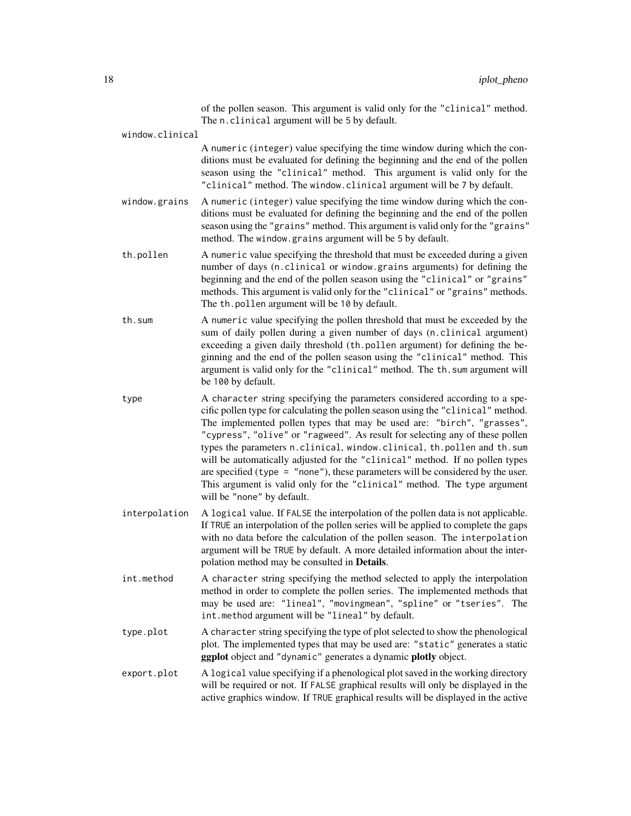of the pollen season. This argument is valid only for the "clinical" method. The n.clinical argument will be 5 by default.

window.clinical

A numeric (integer) value specifying the time window during which the conditions must be evaluated for defining the beginning and the end of the pollen season using the "clinical" method. This argument is valid only for the "clinical" method. The window.clinical argument will be 7 by default.

- window.grains A numeric (integer) value specifying the time window during which the conditions must be evaluated for defining the beginning and the end of the pollen season using the "grains" method. This argument is valid only for the "grains" method. The window.grains argument will be 5 by default.
- th.pollen A numeric value specifying the threshold that must be exceeded during a given number of days (n.clinical or window.grains arguments) for defining the beginning and the end of the pollen season using the "clinical" or "grains" methods. This argument is valid only for the "clinical" or "grains" methods. The th.pollen argument will be 10 by default.
- th.sum A numeric value specifying the pollen threshold that must be exceeded by the sum of daily pollen during a given number of days (n.clinical argument) exceeding a given daily threshold (th.pollen argument) for defining the beginning and the end of the pollen season using the "clinical" method. This argument is valid only for the "clinical" method. The th.sum argument will be 100 by default.
- type A character string specifying the parameters considered according to a specific pollen type for calculating the pollen season using the "clinical" method. The implemented pollen types that may be used are: "birch", "grasses", "cypress", "olive" or "ragweed". As result for selecting any of these pollen types the parameters n.clinical, window.clinical, th.pollen and th.sum will be automatically adjusted for the "clinical" method. If no pollen types are specified (type  $=$  "none"), these parameters will be considered by the user. This argument is valid only for the "clinical" method. The type argument will be "none" by default.
- interpolation A logical value. If FALSE the interpolation of the pollen data is not applicable. If TRUE an interpolation of the pollen series will be applied to complete the gaps with no data before the calculation of the pollen season. The interpolation argument will be TRUE by default. A more detailed information about the interpolation method may be consulted in Details.
- int.method A character string specifying the method selected to apply the interpolation method in order to complete the pollen series. The implemented methods that may be used are: "lineal", "movingmean", "spline" or "tseries". The int.method argument will be "lineal" by default.
- type.plot A character string specifying the type of plot selected to show the phenological plot. The implemented types that may be used are: "static" generates a static ggplot object and "dynamic" generates a dynamic plotly object.
- export.plot A logical value specifying if a phenological plot saved in the working directory will be required or not. If FALSE graphical results will only be displayed in the active graphics window. If TRUE graphical results will be displayed in the active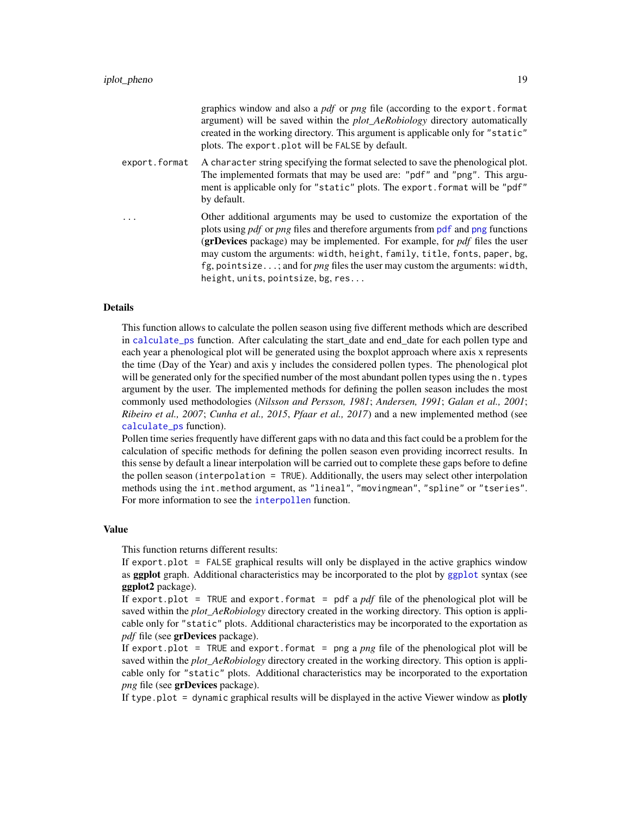<span id="page-18-0"></span>

|               | graphics window and also a <i>pdf</i> or <i>png</i> file (according to the export. format<br>argument) will be saved within the <i>plot_AeRobiology</i> directory automatically<br>created in the working directory. This argument is applicable only for "static"<br>plots. The export. plot will be FALSE by default.                                                                                                                                                           |
|---------------|-----------------------------------------------------------------------------------------------------------------------------------------------------------------------------------------------------------------------------------------------------------------------------------------------------------------------------------------------------------------------------------------------------------------------------------------------------------------------------------|
| export.format | A character string specifying the format selected to save the phenological plot.<br>The implemented formats that may be used are: "pdf" and "png". This argu-<br>ment is applicable only for "static" plots. The export. format will be "pdf"<br>by default.                                                                                                                                                                                                                      |
| .             | Other additional arguments may be used to customize the exportation of the<br>plots using <i>pdf</i> or <i>png</i> files and therefore arguments from <i>pdf</i> and <i>png</i> functions<br>(grDevices package) may be implemented. For example, for $pdf$ files the user<br>may custom the arguments: width, height, family, title, fonts, paper, bg,<br>fg, pointsize; and for <i>png</i> files the user may custom the arguments: width,<br>height, units, pointsize, bg, res |

This function allows to calculate the pollen season using five different methods which are described in [calculate\\_ps](#page-4-1) function. After calculating the start\_date and end\_date for each pollen type and each year a phenological plot will be generated using the boxplot approach where axis x represents the time (Day of the Year) and axis y includes the considered pollen types. The phenological plot will be generated only for the specified number of the most abundant pollen types using the n.types argument by the user. The implemented methods for defining the pollen season includes the most commonly used methodologies (*Nilsson and Persson, 1981*; *Andersen, 1991*; *Galan et al., 2001*; *Ribeiro et al., 2007*; *Cunha et al., 2015*, *Pfaar et al., 2017*) and a new implemented method (see [calculate\\_ps](#page-4-1) function).

Pollen time series frequently have different gaps with no data and this fact could be a problem for the calculation of specific methods for defining the pollen season even providing incorrect results. In this sense by default a linear interpolation will be carried out to complete these gaps before to define the pollen season (interpolation = TRUE). Additionally, the users may select other interpolation methods using the int.method argument, as "lineal", "movingmean", "spline" or "tseries". For more information to see the [interpollen](#page-10-1) function.

## Value

This function returns different results:

If export.plot = FALSE graphical results will only be displayed in the active graphics window as [ggplot](#page-0-0) graph. Additional characteristics may be incorporated to the plot by ggplot syntax (see ggplot2 package).

If export.plot = TRUE and export.format = pdf a *pdf* file of the phenological plot will be saved within the *plot\_AeRobiology* directory created in the working directory. This option is applicable only for "static" plots. Additional characteristics may be incorporated to the exportation as *pdf* file (see grDevices package).

If export.plot = TRUE and export.format = png a *png* file of the phenological plot will be saved within the *plot AeRobiology* directory created in the working directory. This option is applicable only for "static" plots. Additional characteristics may be incorporated to the exportation *png* file (see grDevices package).

If type.plot  $=$  dynamic graphical results will be displayed in the active Viewer window as **plotly**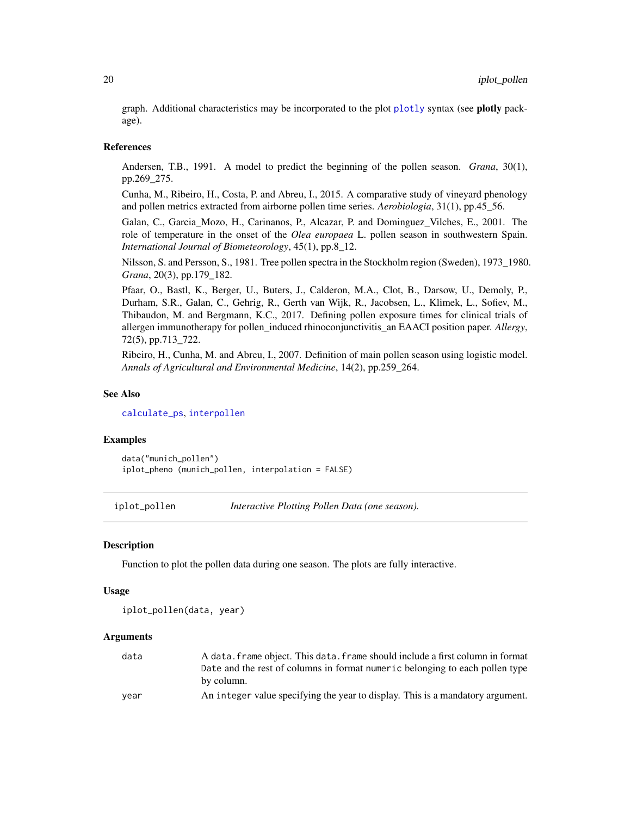<span id="page-19-0"></span>graph. Additional characteristics may be incorporated to the plot [plotly](#page-0-0) syntax (see plotly package).

#### References

Andersen, T.B., 1991. A model to predict the beginning of the pollen season. *Grana*, 30(1), pp.269\_275.

Cunha, M., Ribeiro, H., Costa, P. and Abreu, I., 2015. A comparative study of vineyard phenology and pollen metrics extracted from airborne pollen time series. *Aerobiologia*, 31(1), pp.45\_56.

Galan, C., Garcia\_Mozo, H., Carinanos, P., Alcazar, P. and Dominguez\_Vilches, E., 2001. The role of temperature in the onset of the *Olea europaea* L. pollen season in southwestern Spain. *International Journal of Biometeorology*, 45(1), pp.8\_12.

Nilsson, S. and Persson, S., 1981. Tree pollen spectra in the Stockholm region (Sweden), 1973\_1980. *Grana*, 20(3), pp.179\_182.

Pfaar, O., Bastl, K., Berger, U., Buters, J., Calderon, M.A., Clot, B., Darsow, U., Demoly, P., Durham, S.R., Galan, C., Gehrig, R., Gerth van Wijk, R., Jacobsen, L., Klimek, L., Sofiev, M., Thibaudon, M. and Bergmann, K.C., 2017. Defining pollen exposure times for clinical trials of allergen immunotherapy for pollen\_induced rhinoconjunctivitis\_an EAACI position paper. *Allergy*, 72(5), pp.713\_722.

Ribeiro, H., Cunha, M. and Abreu, I., 2007. Definition of main pollen season using logistic model. *Annals of Agricultural and Environmental Medicine*, 14(2), pp.259\_264.

#### See Also

[calculate\\_ps](#page-4-1), [interpollen](#page-10-1)

#### Examples

data("munich\_pollen") iplot\_pheno (munich\_pollen, interpolation = FALSE)

<span id="page-19-1"></span>iplot\_pollen *Interactive Plotting Pollen Data (one season).*

#### **Description**

Function to plot the pollen data during one season. The plots are fully interactive.

#### Usage

```
iplot_pollen(data, year)
```

| data | A data. frame object. This data. frame should include a first column in format |
|------|--------------------------------------------------------------------------------|
|      | Date and the rest of columns in format numeric belonging to each pollen type   |
|      | by column.                                                                     |
| vear | An integer value specifying the year to display. This is a mandatory argument. |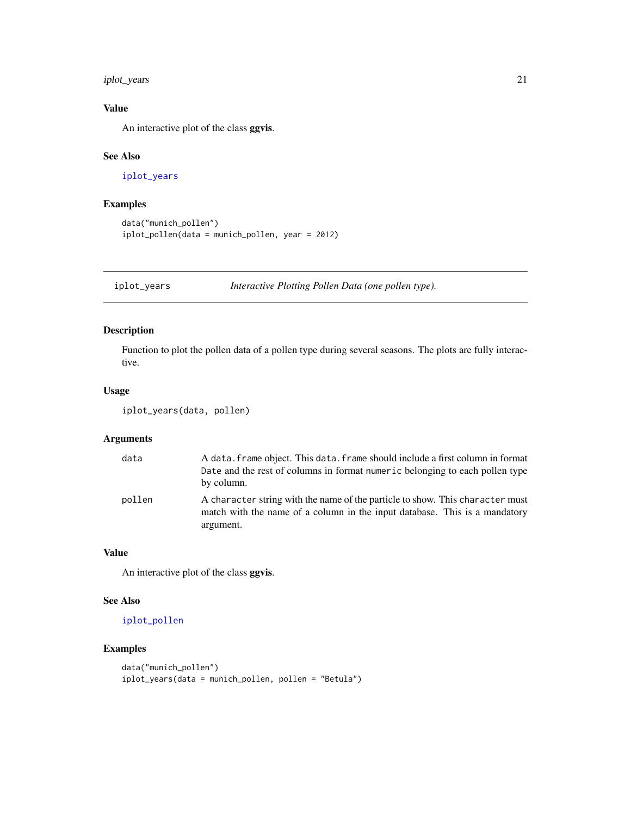<span id="page-20-0"></span>iplot\_years 21

# Value

An interactive plot of the class ggvis.

# See Also

[iplot\\_years](#page-20-1)

# Examples

```
data("munich_pollen")
iplot_pollen(data = munich_pollen, year = 2012)
```
<span id="page-20-1"></span>iplot\_years *Interactive Plotting Pollen Data (one pollen type).*

# Description

Function to plot the pollen data of a pollen type during several seasons. The plots are fully interactive.

# Usage

```
iplot_years(data, pollen)
```
# Arguments

| data   | A data, frame object. This data, frame should include a first column in format<br>Date and the rest of columns in format numeric belonging to each pollen type<br>by column. |
|--------|------------------------------------------------------------------------------------------------------------------------------------------------------------------------------|
| pollen | A character string with the name of the particle to show. This character must<br>match with the name of a column in the input database. This is a mandatory<br>argument.     |

## Value

An interactive plot of the class ggvis.

# See Also

[iplot\\_pollen](#page-19-1)

# Examples

```
data("munich_pollen")
iplot_years(data = munich_pollen, pollen = "Betula")
```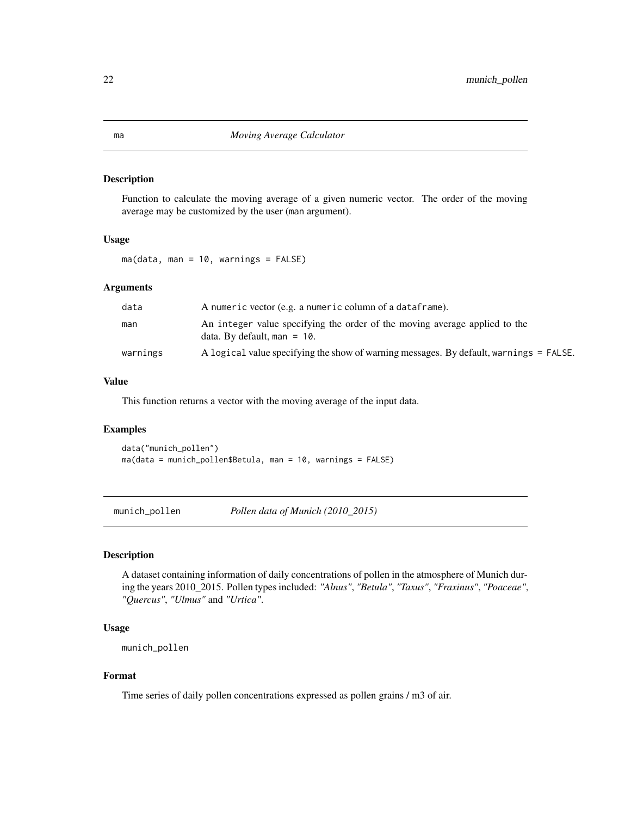## Description

Function to calculate the moving average of a given numeric vector. The order of the moving average may be customized by the user (man argument).

## Usage

ma(data, man = 10, warnings = FALSE)

## **Arguments**

| data     | A numeric vector (e.g. a numeric column of a dataframe).                                                     |
|----------|--------------------------------------------------------------------------------------------------------------|
| man      | An integer value specifying the order of the moving average applied to the<br>data. By default, man = $10$ . |
| warnings | A logical value specifying the show of warning messages. By default, warnings = FALSE.                       |

# Value

This function returns a vector with the moving average of the input data.

## Examples

data("munich\_pollen") ma(data = munich\_pollen\$Betula, man = 10, warnings = FALSE)

munich\_pollen *Pollen data of Munich (2010\_2015)*

# Description

A dataset containing information of daily concentrations of pollen in the atmosphere of Munich during the years 2010\_2015. Pollen types included: *"Alnus"*, *"Betula"*, *"Taxus"*, *"Fraxinus"*, *"Poaceae"*, *"Quercus"*, *"Ulmus"* and *"Urtica"*.

## Usage

```
munich_pollen
```
# Format

Time series of daily pollen concentrations expressed as pollen grains / m3 of air.

<span id="page-21-1"></span><span id="page-21-0"></span>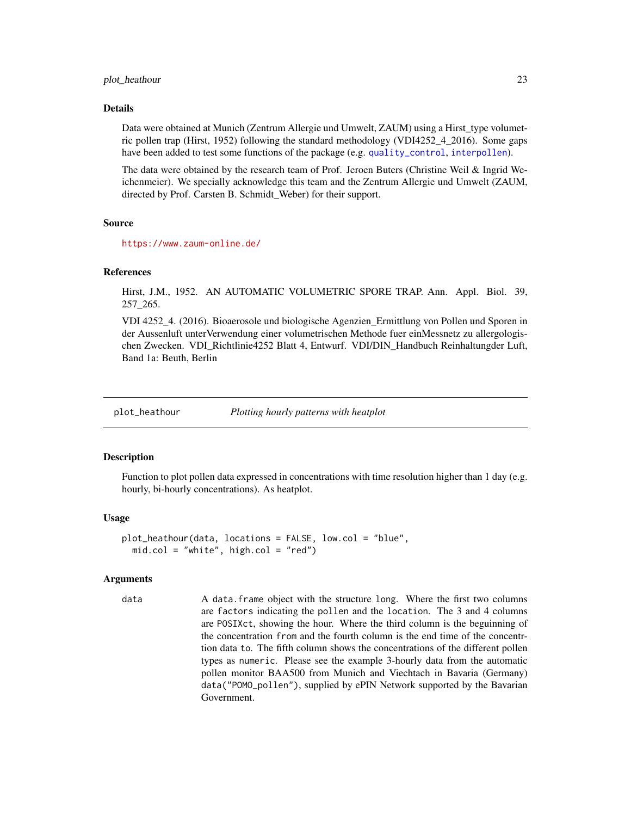#### <span id="page-22-0"></span>plot\_heathour 23

#### Details

Data were obtained at Munich (Zentrum Allergie und Umwelt, ZAUM) using a Hirst\_type volumetric pollen trap (Hirst, 1952) following the standard methodology (VDI4252\_4\_2016). Some gaps have been added to test some functions of the package (e.g. [quality\\_control](#page-36-1), [interpollen](#page-10-1)).

The data were obtained by the research team of Prof. Jeroen Buters (Christine Weil & Ingrid Weichenmeier). We specially acknowledge this team and the Zentrum Allergie und Umwelt (ZAUM, directed by Prof. Carsten B. Schmidt\_Weber) for their support.

## Source

<https://www.zaum-online.de/>

## References

Hirst, J.M., 1952. AN AUTOMATIC VOLUMETRIC SPORE TRAP. Ann. Appl. Biol. 39, 257\_265.

VDI 4252\_4. (2016). Bioaerosole und biologische Agenzien\_Ermittlung von Pollen und Sporen in der Aussenluft unterVerwendung einer volumetrischen Methode fuer einMessnetz zu allergologischen Zwecken. VDI\_Richtlinie4252 Blatt 4, Entwurf. VDI/DIN\_Handbuch Reinhaltungder Luft, Band 1a: Beuth, Berlin

plot\_heathour *Plotting hourly patterns with heatplot*

# Description

Function to plot pollen data expressed in concentrations with time resolution higher than 1 day (e.g. hourly, bi-hourly concentrations). As heatplot.

#### Usage

```
plot_heathour(data, locations = FALSE, low.col = "blue",
 mid.col = "white", high.col = "red")
```
### **Arguments**

data A data. frame object with the structure long. Where the first two columns are factors indicating the pollen and the location. The 3 and 4 columns are POSIXct, showing the hour. Where the third column is the beguinning of the concentration from and the fourth column is the end time of the concentrtion data to. The fifth column shows the concentrations of the different pollen types as numeric. Please see the example 3-hourly data from the automatic pollen monitor BAA500 from Munich and Viechtach in Bavaria (Germany) data("POMO\_pollen"), supplied by ePIN Network supported by the Bavarian Government.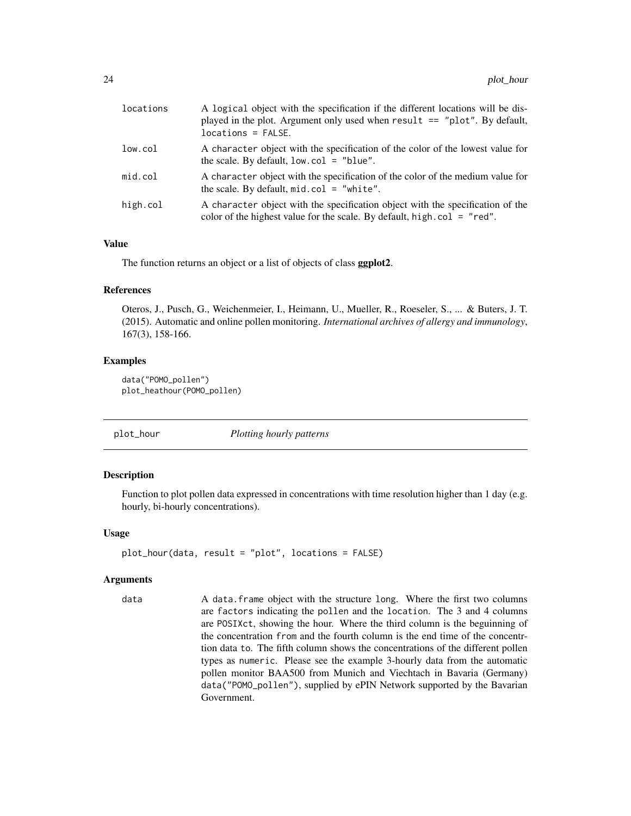<span id="page-23-0"></span>

| locations | A logical object with the specification if the different locations will be dis-<br>played in the plot. Argument only used when $result == "plot". By default,$<br>$locations = FALSE.$ |
|-----------|----------------------------------------------------------------------------------------------------------------------------------------------------------------------------------------|
| low.col   | A character object with the specification of the color of the lowest value for<br>the scale. By default, $low,col = "blue".$                                                           |
| mid.col   | A character object with the specification of the color of the medium value for<br>the scale. By default, $mid.col = "white".$                                                          |
| high.col  | A character object with the specification object with the specification of the<br>color of the highest value for the scale. By default, high.col = "red".                              |

# Value

The function returns an object or a list of objects of class ggplot2.

#### References

Oteros, J., Pusch, G., Weichenmeier, I., Heimann, U., Mueller, R., Roeseler, S., ... & Buters, J. T. (2015). Automatic and online pollen monitoring. *International archives of allergy and immunology*, 167(3), 158-166.

## Examples

```
data("POMO_pollen")
plot_heathour(POMO_pollen)
```
plot\_hour *Plotting hourly patterns*

## Description

Function to plot pollen data expressed in concentrations with time resolution higher than 1 day (e.g. hourly, bi-hourly concentrations).

## Usage

```
plot_hour(data, result = "plot", locations = FALSE)
```
## Arguments

data A data.frame object with the structure long. Where the first two columns are factors indicating the pollen and the location. The 3 and 4 columns are POSIXct, showing the hour. Where the third column is the beguinning of the concentration from and the fourth column is the end time of the concentrtion data to. The fifth column shows the concentrations of the different pollen types as numeric. Please see the example 3-hourly data from the automatic pollen monitor BAA500 from Munich and Viechtach in Bavaria (Germany) data("POMO\_pollen"), supplied by ePIN Network supported by the Bavarian Government.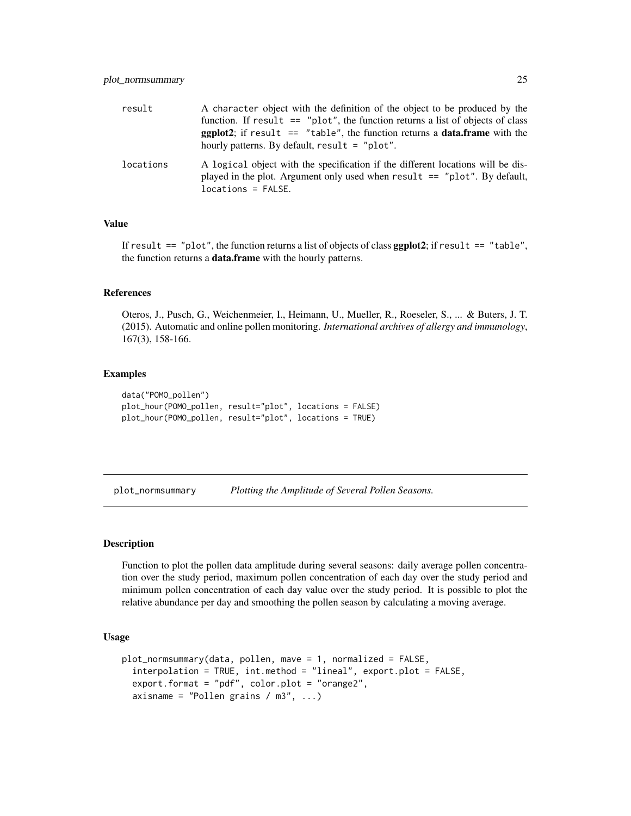<span id="page-24-0"></span>

| result    | A character object with the definition of the object to be produced by the<br>function. If result $==$ "plot", the function returns a list of objects of class<br><b>ggplot2</b> ; if result $==$ "table", the function returns a <b>data.frame</b> with the<br>hourly patterns. By default, $result = "plot".$ |
|-----------|-----------------------------------------------------------------------------------------------------------------------------------------------------------------------------------------------------------------------------------------------------------------------------------------------------------------|
| locations | A logical object with the specification if the different locations will be dis-<br>played in the plot. Argument only used when result $==$ "plot". By default,<br>$locations = FALSE.$                                                                                                                          |

# Value

If result  $==$  "plot", the function returns a list of objects of class  $ggplot2$ ; if result  $==$  "table", the function returns a data.frame with the hourly patterns.

#### References

Oteros, J., Pusch, G., Weichenmeier, I., Heimann, U., Mueller, R., Roeseler, S., ... & Buters, J. T. (2015). Automatic and online pollen monitoring. *International archives of allergy and immunology*, 167(3), 158-166.

# Examples

```
data("POMO_pollen")
plot_hour(POMO_pollen, result="plot", locations = FALSE)
plot_hour(POMO_pollen, result="plot", locations = TRUE)
```
<span id="page-24-1"></span>plot\_normsummary *Plotting the Amplitude of Several Pollen Seasons.*

#### Description

Function to plot the pollen data amplitude during several seasons: daily average pollen concentration over the study period, maximum pollen concentration of each day over the study period and minimum pollen concentration of each day value over the study period. It is possible to plot the relative abundance per day and smoothing the pollen season by calculating a moving average.

#### Usage

```
plot_normsummary(data, pollen, mave = 1, normalized = FALSE,
  interpolation = TRUE, int.method = "lineal", export.plot = FALSE,
  export.format = "pdf", color.plot = "orange2",
  axisname = "Pollen grains / m3", ...)
```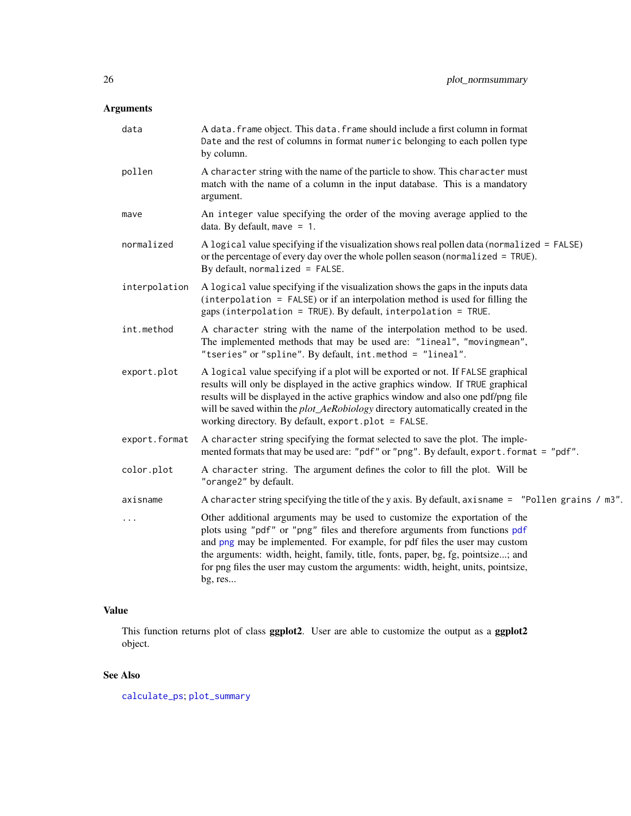# <span id="page-25-0"></span>Arguments

| data          | A data. frame object. This data. frame should include a first column in format<br>Date and the rest of columns in format numeric belonging to each pollen type<br>by column.                                                                                                                                                                                                                                                 |
|---------------|------------------------------------------------------------------------------------------------------------------------------------------------------------------------------------------------------------------------------------------------------------------------------------------------------------------------------------------------------------------------------------------------------------------------------|
| pollen        | A character string with the name of the particle to show. This character must<br>match with the name of a column in the input database. This is a mandatory<br>argument.                                                                                                                                                                                                                                                     |
| mave          | An integer value specifying the order of the moving average applied to the<br>data. By default, mave $= 1$ .                                                                                                                                                                                                                                                                                                                 |
| normalized    | A logical value specifying if the visualization shows real pollen data (normalized = FALSE)<br>or the percentage of every day over the whole pollen season (normalized = TRUE).<br>By default, normalized = $FALSE.$                                                                                                                                                                                                         |
| interpolation | A logical value specifying if the visualization shows the gaps in the inputs data<br>$interpolation = FALSE$ or if an interpolation method is used for filling the<br>gaps (interpolation = TRUE). By default, interpolation = TRUE.                                                                                                                                                                                         |
| int.method    | A character string with the name of the interpolation method to be used.<br>The implemented methods that may be used are: "lineal", "movingmean",<br>"tseries" or "spline". By default, int.method = "lineal".                                                                                                                                                                                                               |
| export.plot   | A logical value specifying if a plot will be exported or not. If FALSE graphical<br>results will only be displayed in the active graphics window. If TRUE graphical<br>results will be displayed in the active graphics window and also one pdf/png file<br>will be saved within the <i>plot_AeRobiology</i> directory automatically created in the<br>working directory. By default, export.plot = FALSE.                   |
| export.format | A character string specifying the format selected to save the plot. The imple-<br>mented formats that may be used are: "pdf" or "png". By default, export. format = "pdf".                                                                                                                                                                                                                                                   |
| color.plot    | A character string. The argument defines the color to fill the plot. Will be<br>"orange2" by default.                                                                                                                                                                                                                                                                                                                        |
| axisname      | A character string specifying the title of the y axis. By default, axisname = "Pollen grains / m3".                                                                                                                                                                                                                                                                                                                          |
| $\cdots$      | Other additional arguments may be used to customize the exportation of the<br>plots using "pdf" or "png" files and therefore arguments from functions pdf<br>and png may be implemented. For example, for pdf files the user may custom<br>the arguments: width, height, family, title, fonts, paper, bg, fg, pointsize; and<br>for png files the user may custom the arguments: width, height, units, pointsize,<br>bg, res |
|               |                                                                                                                                                                                                                                                                                                                                                                                                                              |

# Value

This function returns plot of class ggplot2. User are able to customize the output as a ggplot2 object.

# See Also

[calculate\\_ps](#page-4-1); [plot\\_summary](#page-27-1)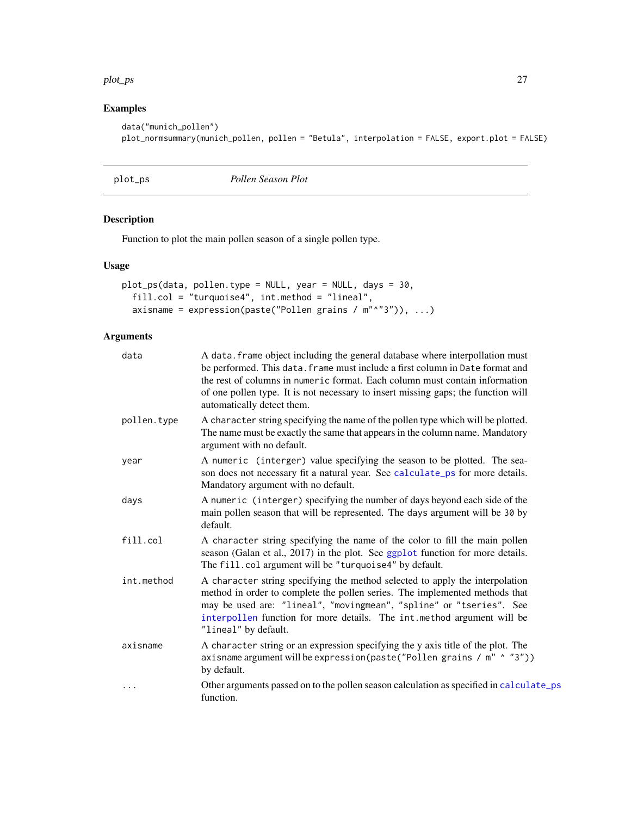## <span id="page-26-0"></span>plot\_ps 27

# Examples

```
data("munich_pollen")
plot_normsummary(munich_pollen, pollen = "Betula", interpolation = FALSE, export.plot = FALSE)
```
<span id="page-26-1"></span>plot\_ps *Pollen Season Plot*

# Description

Function to plot the main pollen season of a single pollen type.

# Usage

```
plot_ps(data, pollen.type = NULL, year = NULL, days = 30,
 fill.col = "turquoise4", int.method = "lineal",
 axisname = expression(paste("Pollen grains / m"^"3")), ...)
```

| data        | A data. frame object including the general database where interpollation must<br>be performed. This data. frame must include a first column in Date format and<br>the rest of columns in numeric format. Each column must contain information<br>of one pollen type. It is not necessary to insert missing gaps; the function will<br>automatically detect them. |
|-------------|------------------------------------------------------------------------------------------------------------------------------------------------------------------------------------------------------------------------------------------------------------------------------------------------------------------------------------------------------------------|
| pollen.type | A character string specifying the name of the pollen type which will be plotted.<br>The name must be exactly the same that appears in the column name. Mandatory<br>argument with no default.                                                                                                                                                                    |
| year        | A numeric (interger) value specifying the season to be plotted. The sea-<br>son does not necessary fit a natural year. See calculate_ps for more details.<br>Mandatory argument with no default.                                                                                                                                                                 |
| days        | A numeric (interger) specifying the number of days beyond each side of the<br>main pollen season that will be represented. The days argument will be 30 by<br>default.                                                                                                                                                                                           |
| fill.col    | A character string specifying the name of the color to fill the main pollen<br>season (Galan et al., 2017) in the plot. See ggplot function for more details.<br>The fill.col argument will be "turquoise4" by default.                                                                                                                                          |
| int.method  | A character string specifying the method selected to apply the interpolation<br>method in order to complete the pollen series. The implemented methods that<br>may be used are: "lineal", "movingmean", "spline" or "tseries". See<br>interpollen function for more details. The int.method argument will be<br>"lineal" by default.                             |
| axisname    | A character string or an expression specifying the y axis title of the plot. The<br>axisname argument will be expression(paste("Pollen grains / m" ^ "3"))<br>by default.                                                                                                                                                                                        |
| $\cdots$    | Other arguments passed on to the pollen season calculation as specified in calculate_ps<br>function.                                                                                                                                                                                                                                                             |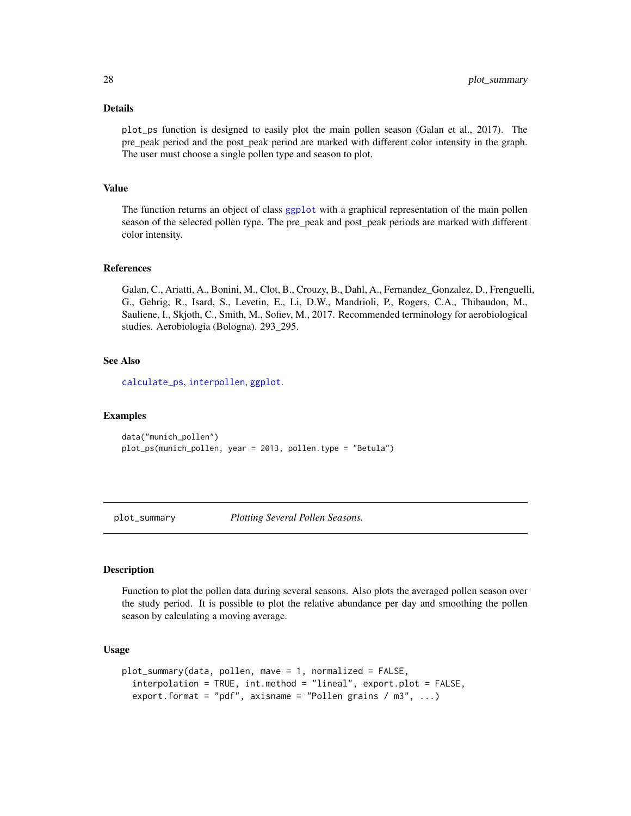plot\_ps function is designed to easily plot the main pollen season (Galan et al., 2017). The pre\_peak period and the post\_peak period are marked with different color intensity in the graph. The user must choose a single pollen type and season to plot.

# Value

The function returns an object of class [ggplot](#page-0-0) with a graphical representation of the main pollen season of the selected pollen type. The pre\_peak and post\_peak periods are marked with different color intensity.

## References

Galan, C., Ariatti, A., Bonini, M., Clot, B., Crouzy, B., Dahl, A., Fernandez\_Gonzalez, D., Frenguelli, G., Gehrig, R., Isard, S., Levetin, E., Li, D.W., Mandrioli, P., Rogers, C.A., Thibaudon, M., Sauliene, I., Skjoth, C., Smith, M., Sofiev, M., 2017. Recommended terminology for aerobiological studies. Aerobiologia (Bologna). 293\_295.

#### See Also

[calculate\\_ps](#page-4-1), [interpollen](#page-10-1), [ggplot](#page-0-0).

## Examples

data("munich\_pollen") plot\_ps(munich\_pollen, year = 2013, pollen.type = "Betula")

<span id="page-27-1"></span>plot\_summary *Plotting Several Pollen Seasons.*

## Description

Function to plot the pollen data during several seasons. Also plots the averaged pollen season over the study period. It is possible to plot the relative abundance per day and smoothing the pollen season by calculating a moving average.

## Usage

```
plot_summary(data, pollen, mave = 1, normalized = FALSE,
  interpolation = TRUE, int.method = "lineal", export.plot = FALSE,
  export.format = "pdf", axisname = "Pollen grains / m3", ...)
```
<span id="page-27-0"></span>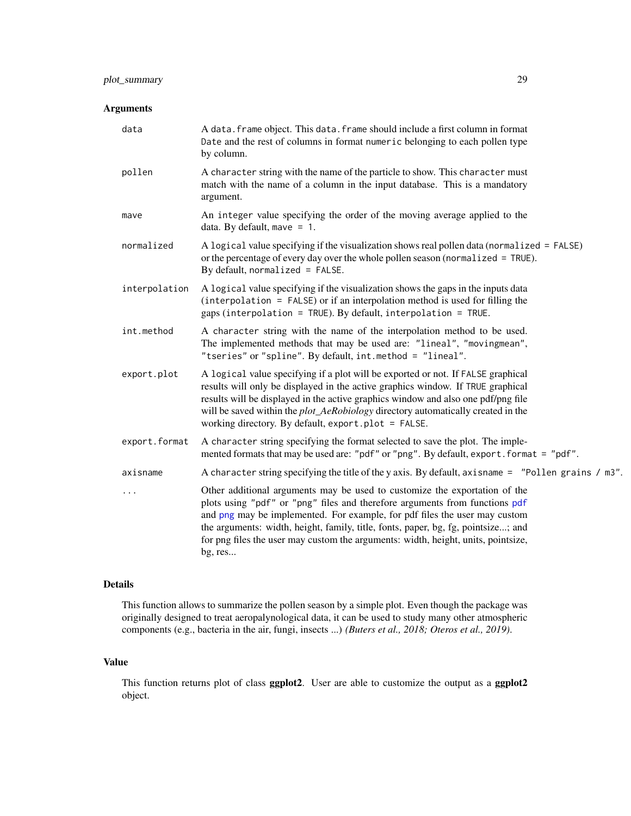# <span id="page-28-0"></span>plot\_summary 29

# Arguments

| A data. frame object. This data. frame should include a first column in format<br>Date and the rest of columns in format numeric belonging to each pollen type<br>by column.                                                                                                                                                                                                                                                 |
|------------------------------------------------------------------------------------------------------------------------------------------------------------------------------------------------------------------------------------------------------------------------------------------------------------------------------------------------------------------------------------------------------------------------------|
| A character string with the name of the particle to show. This character must<br>match with the name of a column in the input database. This is a mandatory<br>argument.                                                                                                                                                                                                                                                     |
| An integer value specifying the order of the moving average applied to the<br>data. By default, mave $= 1$ .                                                                                                                                                                                                                                                                                                                 |
| A logical value specifying if the visualization shows real pollen data (normalized = FALSE)<br>or the percentage of every day over the whole pollen season (normalized = TRUE).<br>By default, normalized = $FALSE$ .                                                                                                                                                                                                        |
| A logical value specifying if the visualization shows the gaps in the inputs data<br>$interpolation = FALSE$ or if an interpolation method is used for filling the<br>gaps (interpolation = TRUE). By default, interpolation = TRUE.                                                                                                                                                                                         |
| A character string with the name of the interpolation method to be used.<br>The implemented methods that may be used are: "lineal", "movingmean",<br>"tseries" or "spline". By default, int.method = "lineal".                                                                                                                                                                                                               |
| A logical value specifying if a plot will be exported or not. If FALSE graphical<br>results will only be displayed in the active graphics window. If TRUE graphical<br>results will be displayed in the active graphics window and also one pdf/png file<br>will be saved within the <i>plot_AeRobiology</i> directory automatically created in the<br>working directory. By default, export.plot = FALSE.                   |
| A character string specifying the format selected to save the plot. The imple-<br>mented formats that may be used are: "pdf" or "png". By default, export. format = "pdf".                                                                                                                                                                                                                                                   |
| A character string specifying the title of the y axis. By default, axisname = "Pollen grains / m3".                                                                                                                                                                                                                                                                                                                          |
| Other additional arguments may be used to customize the exportation of the<br>plots using "pdf" or "png" files and therefore arguments from functions pdf<br>and png may be implemented. For example, for pdf files the user may custom<br>the arguments: width, height, family, title, fonts, paper, bg, fg, pointsize; and<br>for png files the user may custom the arguments: width, height, units, pointsize,<br>bg, res |
|                                                                                                                                                                                                                                                                                                                                                                                                                              |

# Details

This function allows to summarize the pollen season by a simple plot. Even though the package was originally designed to treat aeropalynological data, it can be used to study many other atmospheric components (e.g., bacteria in the air, fungi, insects ...) *(Buters et al., 2018; Oteros et al., 2019)*.

# Value

This function returns plot of class ggplot2. User are able to customize the output as a ggplot2 object.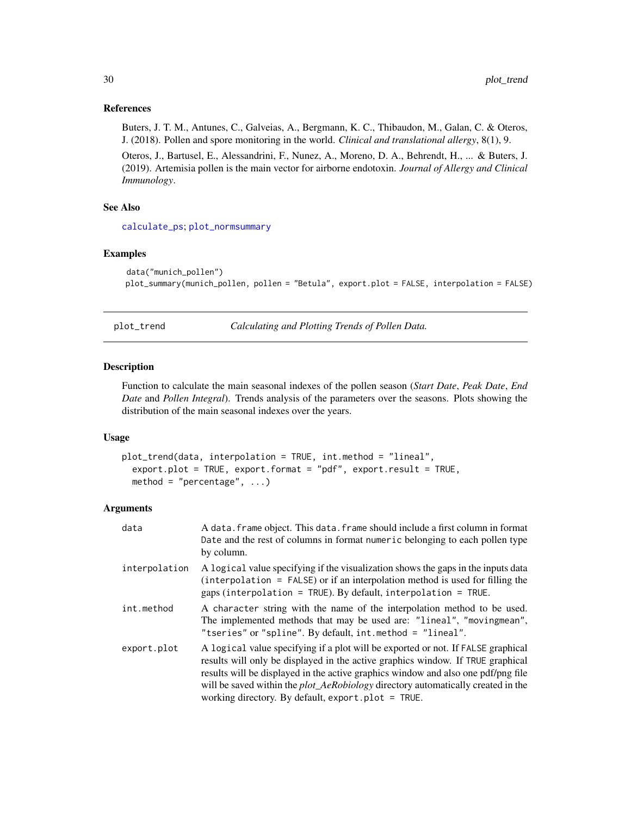## References

Buters, J. T. M., Antunes, C., Galveias, A., Bergmann, K. C., Thibaudon, M., Galan, C. & Oteros, J. (2018). Pollen and spore monitoring in the world. *Clinical and translational allergy*, 8(1), 9.

Oteros, J., Bartusel, E., Alessandrini, F., Nunez, A., Moreno, D. A., Behrendt, H., ... & Buters, J. (2019). Artemisia pollen is the main vector for airborne endotoxin. *Journal of Allergy and Clinical Immunology*.

## See Also

[calculate\\_ps](#page-4-1); [plot\\_normsummary](#page-24-1)

# Examples

```
data("munich_pollen")
plot_summary(munich_pollen, pollen = "Betula", export.plot = FALSE, interpolation = FALSE)
```
<span id="page-29-1"></span>plot\_trend *Calculating and Plotting Trends of Pollen Data.*

## Description

Function to calculate the main seasonal indexes of the pollen season (*Start Date*, *Peak Date*, *End Date* and *Pollen Integral*). Trends analysis of the parameters over the seasons. Plots showing the distribution of the main seasonal indexes over the years.

#### Usage

```
plot_trend(data, interpolation = TRUE, int.method = "lineal",
  export.plot = TRUE, export.format = "pdf", export.result = TRUE,
 method = "percentage", \dots)
```

| data          | A data. frame object. This data. frame should include a first column in format<br>Date and the rest of columns in format numeric belonging to each pollen type<br>by column.                                                                                                                                                                                                                              |
|---------------|-----------------------------------------------------------------------------------------------------------------------------------------------------------------------------------------------------------------------------------------------------------------------------------------------------------------------------------------------------------------------------------------------------------|
| interpolation | A logical value specifying if the visualization shows the gaps in the inputs data<br>$interpolation = FALSE$ or if an interpolation method is used for filling the<br>gaps (interpolation = TRUE). By default, interpolation = TRUE.                                                                                                                                                                      |
| int.method    | A character string with the name of the interpolation method to be used.<br>The implemented methods that may be used are: "lineal", "movingmean",<br>"tseries" or "spline". By default, int.method = "lineal".                                                                                                                                                                                            |
| export.plot   | A logical value specifying if a plot will be exported or not. If FALSE graphical<br>results will only be displayed in the active graphics window. If TRUE graphical<br>results will be displayed in the active graphics window and also one pdf/png file<br>will be saved within the <i>plot_AeRobiology</i> directory automatically created in the<br>working directory. By default, export.plot = TRUE. |

<span id="page-29-0"></span>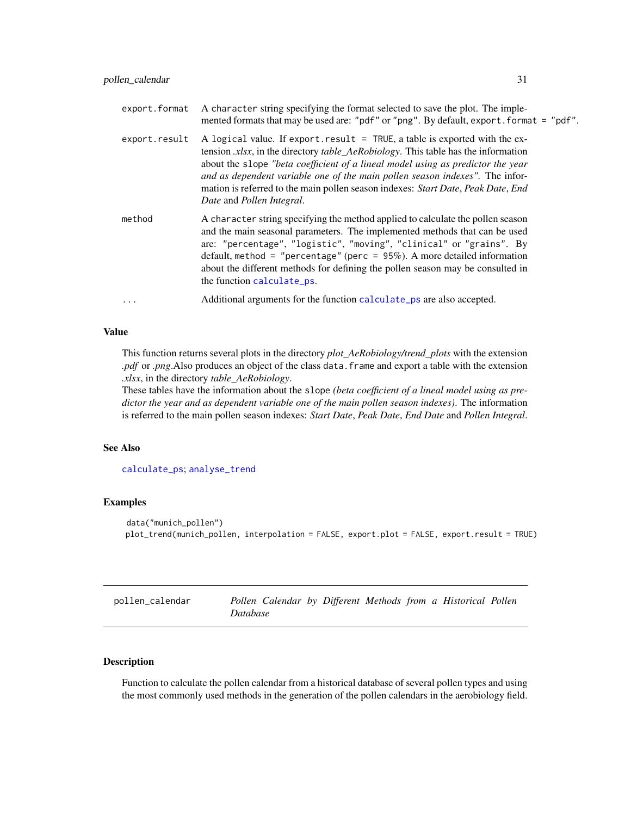<span id="page-30-0"></span>

| export.format | A character string specifying the format selected to save the plot. The imple-<br>mented formats that may be used are: "pdf" or "png". By default, export. format = "pdf".                                                                                                                                                                                                                                                                                           |
|---------------|----------------------------------------------------------------------------------------------------------------------------------------------------------------------------------------------------------------------------------------------------------------------------------------------------------------------------------------------------------------------------------------------------------------------------------------------------------------------|
| export.result | A logical value. If export result $=$ TRUE, a table is exported with the ex-<br>tension <i>xlsx</i> , in the directory <i>table_AeRobiology</i> . This table has the information<br>about the slope "beta coefficient of a lineal model using as predictor the year<br>and as dependent variable one of the main pollen season indexes". The infor-<br>mation is referred to the main pollen season indexes: Start Date, Peak Date, End<br>Date and Pollen Integral. |
| method        | A character string specifying the method applied to calculate the pollen season<br>and the main seasonal parameters. The implemented methods that can be used<br>are: "percentage", "logistic", "moving", "clinical" or "grains". By<br>default, method = "percentage" (perc = $95\%$ ). A more detailed information<br>about the different methods for defining the pollen season may be consulted in<br>the function calculate_ps.                                 |
| $\ddotsc$     | Additional arguments for the function calculate_ps are also accepted.                                                                                                                                                                                                                                                                                                                                                                                                |

## Value

This function returns several plots in the directory *plot\_AeRobiology/trend\_plots* with the extension *.pdf* or *.png*.Also produces an object of the class data.frame and export a table with the extension *.xlsx*, in the directory *table\_AeRobiology*.

These tables have the information about the slope *(beta coefficient of a lineal model using as predictor the year and as dependent variable one of the main pollen season indexes)*. The information is referred to the main pollen season indexes: *Start Date*, *Peak Date*, *End Date* and *Pollen Integral*.

## See Also

[calculate\\_ps](#page-4-1); [analyse\\_trend](#page-1-1)

## Examples

```
data("munich_pollen")
plot_trend(munich_pollen, interpolation = FALSE, export.plot = FALSE, export.result = TRUE)
```

| pollen_calendar |                 |  |  |  | Pollen Calendar by Different Methods from a Historical Pollen |  |
|-----------------|-----------------|--|--|--|---------------------------------------------------------------|--|
|                 | <i>Database</i> |  |  |  |                                                               |  |

# Description

Function to calculate the pollen calendar from a historical database of several pollen types and using the most commonly used methods in the generation of the pollen calendars in the aerobiology field.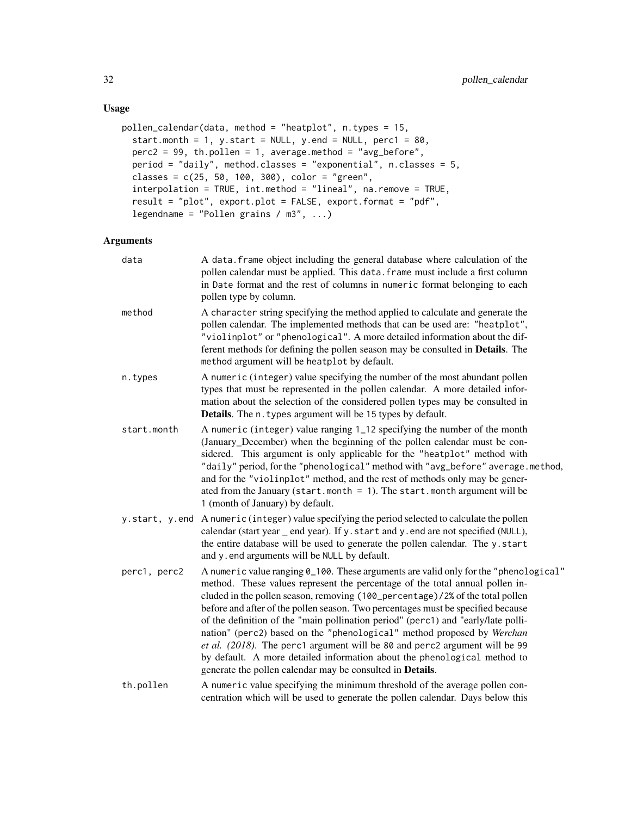# Usage

```
pollen_calendar(data, method = "heatplot", n.types = 15,
  start.month = 1, y.start = NULL, y.end = NULL, perc1 = 80,
 perc2 = 99, th.pollen = 1, average.method = "avg_before",
 period = "daily", method.classes = "exponential", n.classes = 5,
 classes = c(25, 50, 100, 300), color = "green",
  interpolation = TRUE, int.method = "lineal", na.remove = TRUE,
  result = "plot", export.plot = FALSE, export.format = "pdf",
  legendname = "Pollen grains / m3", ...)
```

| data         | A data. frame object including the general database where calculation of the<br>pollen calendar must be applied. This data. frame must include a first column<br>in Date format and the rest of columns in numeric format belonging to each<br>pollen type by column.                                                                                                                                                                                                                                                                                                                                                                                                                                                           |
|--------------|---------------------------------------------------------------------------------------------------------------------------------------------------------------------------------------------------------------------------------------------------------------------------------------------------------------------------------------------------------------------------------------------------------------------------------------------------------------------------------------------------------------------------------------------------------------------------------------------------------------------------------------------------------------------------------------------------------------------------------|
| method       | A character string specifying the method applied to calculate and generate the<br>pollen calendar. The implemented methods that can be used are: "heatplot",<br>"violinplot" or "phenological". A more detailed information about the dif-<br>ferent methods for defining the pollen season may be consulted in Details. The<br>method argument will be heatplot by default.                                                                                                                                                                                                                                                                                                                                                    |
| n.types      | A numeric (integer) value specifying the number of the most abundant pollen<br>types that must be represented in the pollen calendar. A more detailed infor-<br>mation about the selection of the considered pollen types may be consulted in<br>Details. The n. types argument will be 15 types by default.                                                                                                                                                                                                                                                                                                                                                                                                                    |
| start.month  | A numeric (integer) value ranging 1_12 specifying the number of the month<br>(January_December) when the beginning of the pollen calendar must be con-<br>sidered. This argument is only applicable for the "heatplot" method with<br>"daily" period, for the "phenological" method with "avg_before" average.method,<br>and for the "violinplot" method, and the rest of methods only may be gener-<br>ated from the January (start.month = 1). The start.month argument will be<br>1 (month of January) by default.                                                                                                                                                                                                           |
|              | y.start, y.end Anumeric (integer) value specifying the period selected to calculate the pollen<br>calendar (start year _ end year). If y. start and y. end are not specified (NULL),<br>the entire database will be used to generate the pollen calendar. The y.start<br>and y.end arguments will be NULL by default.                                                                                                                                                                                                                                                                                                                                                                                                           |
| perc1, perc2 | A numeric value ranging 0_100. These arguments are valid only for the "phenological"<br>method. These values represent the percentage of the total annual pollen in-<br>cluded in the pollen season, removing (100_percentage)/2% of the total pollen<br>before and after of the pollen season. Two percentages must be specified because<br>of the definition of the "main pollination period" (perc1) and "early/late polli-<br>nation" (perc2) based on the "phenological" method proposed by Werchan<br>et al. (2018). The perc1 argument will be 80 and perc2 argument will be 99<br>by default. A more detailed information about the phenological method to<br>generate the pollen calendar may be consulted in Details. |
| th.pollen    | A numeric value specifying the minimum threshold of the average pollen con-<br>centration which will be used to generate the pollen calendar. Days below this                                                                                                                                                                                                                                                                                                                                                                                                                                                                                                                                                                   |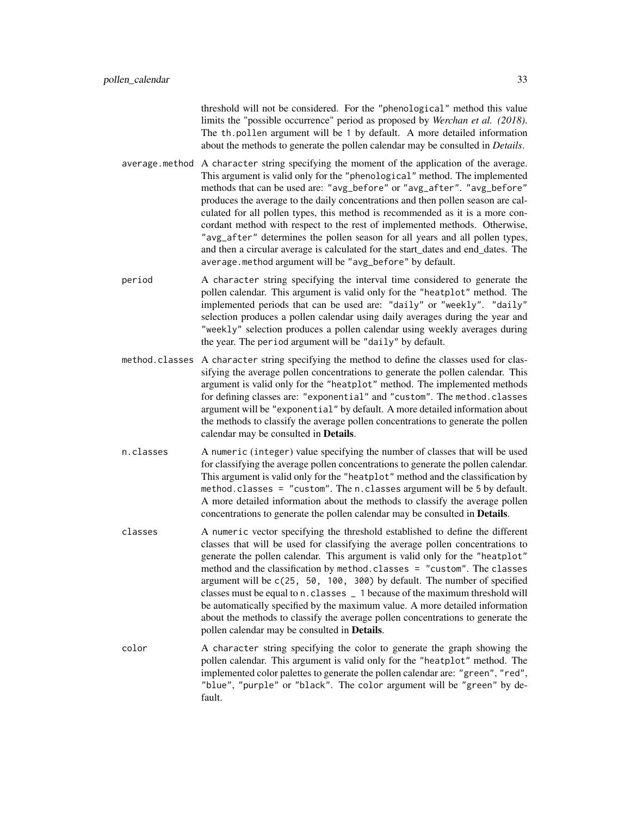threshold will not be considered. For the "phenological" method this value limits the "possible occurrence" period as proposed by *Werchan et al. (2018)*. The th.pollen argument will be 1 by default. A more detailed information about the methods to generate the pollen calendar may be consulted in *Details*.

- average.method A character string specifying the moment of the application of the average. This argument is valid only for the "phenological" method. The implemented methods that can be used are: "avg\_before" or "avg\_after". "avg\_before" produces the average to the daily concentrations and then pollen season are calculated for all pollen types, this method is recommended as it is a more concordant method with respect to the rest of implemented methods. Otherwise, "avg\_after" determines the pollen season for all years and all pollen types, and then a circular average is calculated for the start\_dates and end\_dates. The average.method argument will be "avg\_before" by default.
- period A character string specifying the interval time considered to generate the pollen calendar. This argument is valid only for the "heatplot" method. The implemented periods that can be used are: "daily" or "weekly". "daily" selection produces a pollen calendar using daily averages during the year and "weekly" selection produces a pollen calendar using weekly averages during the year. The period argument will be "daily" by default.
- method.classes A character string specifying the method to define the classes used for classifying the average pollen concentrations to generate the pollen calendar. This argument is valid only for the "heatplot" method. The implemented methods for defining classes are: "exponential" and "custom". The method.classes argument will be "exponential" by default. A more detailed information about the methods to classify the average pollen concentrations to generate the pollen calendar may be consulted in Details.
- n.classes A numeric (integer) value specifying the number of classes that will be used for classifying the average pollen concentrations to generate the pollen calendar. This argument is valid only for the "heatplot" method and the classification by method.classes = "custom". The n.classes argument will be 5 by default. A more detailed information about the methods to classify the average pollen concentrations to generate the pollen calendar may be consulted in Details.
- classes A numeric vector specifying the threshold established to define the different classes that will be used for classifying the average pollen concentrations to generate the pollen calendar. This argument is valid only for the "heatplot" method and the classification by method.classes = "custom". The classes argument will be c(25, 50, 100, 300) by default. The number of specified classes must be equal to n.classes \_ 1 because of the maximum threshold will be automatically specified by the maximum value. A more detailed information about the methods to classify the average pollen concentrations to generate the pollen calendar may be consulted in Details.
- color A character string specifying the color to generate the graph showing the pollen calendar. This argument is valid only for the "heatplot" method. The implemented color palettes to generate the pollen calendar are: "green", "red", "blue", "purple" or "black". The color argument will be "green" by default.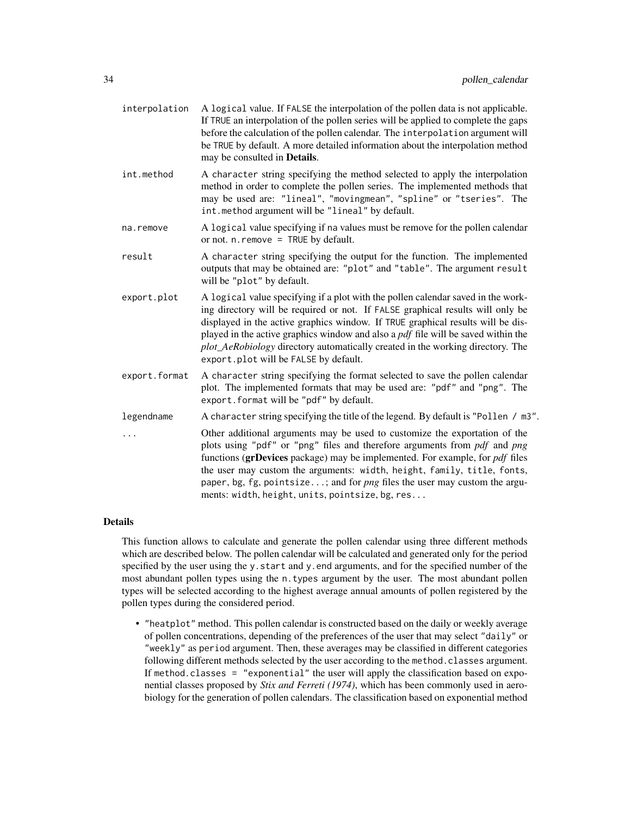| interpolation | A logical value. If FALSE the interpolation of the pollen data is not applicable.<br>If TRUE an interpolation of the pollen series will be applied to complete the gaps<br>before the calculation of the pollen calendar. The interpolation argument will<br>be TRUE by default. A more detailed information about the interpolation method<br>may be consulted in Details.                                                                                                  |
|---------------|------------------------------------------------------------------------------------------------------------------------------------------------------------------------------------------------------------------------------------------------------------------------------------------------------------------------------------------------------------------------------------------------------------------------------------------------------------------------------|
| int.method    | A character string specifying the method selected to apply the interpolation<br>method in order to complete the pollen series. The implemented methods that<br>may be used are: "lineal", "movingmean", "spline" or "tseries". The<br>int.method argument will be "lineal" by default.                                                                                                                                                                                       |
| na.remove     | A logical value specifying if na values must be remove for the pollen calendar<br>or not. $n$ . remove = TRUE by default.                                                                                                                                                                                                                                                                                                                                                    |
| result        | A character string specifying the output for the function. The implemented<br>outputs that may be obtained are: "plot" and "table". The argument result<br>will be "plot" by default.                                                                                                                                                                                                                                                                                        |
| export.plot   | A logical value specifying if a plot with the pollen calendar saved in the work-<br>ing directory will be required or not. If FALSE graphical results will only be<br>displayed in the active graphics window. If TRUE graphical results will be dis-<br>played in the active graphics window and also a <i>pdf</i> file will be saved within the<br>plot_AeRobiology directory automatically created in the working directory. The<br>export.plot will be FALSE by default. |
| export.format | A character string specifying the format selected to save the pollen calendar<br>plot. The implemented formats that may be used are: "pdf" and "png". The<br>export.format will be "pdf" by default.                                                                                                                                                                                                                                                                         |
| legendname    | A character string specifying the title of the legend. By default is "Pollen / m3".                                                                                                                                                                                                                                                                                                                                                                                          |
| $\cdots$      | Other additional arguments may be used to customize the exportation of the<br>plots using "pdf" or "png" files and therefore arguments from pdf and png<br>functions (grDevices package) may be implemented. For example, for <i>pdf</i> files<br>the user may custom the arguments: width, height, family, title, fonts,<br>paper, bg, fg, pointsize; and for <i>png</i> files the user may custom the argu-<br>ments: width, height, units, pointsize, bg, res             |

This function allows to calculate and generate the pollen calendar using three different methods which are described below. The pollen calendar will be calculated and generated only for the period specified by the user using the y.start and y.end arguments, and for the specified number of the most abundant pollen types using the n.types argument by the user. The most abundant pollen types will be selected according to the highest average annual amounts of pollen registered by the pollen types during the considered period.

• "heatplot" method. This pollen calendar is constructed based on the daily or weekly average of pollen concentrations, depending of the preferences of the user that may select "daily" or "weekly" as period argument. Then, these averages may be classified in different categories following different methods selected by the user according to the method.classes argument. If method.classes = "exponential" the user will apply the classification based on exponential classes proposed by *Stix and Ferreti (1974)*, which has been commonly used in aerobiology for the generation of pollen calendars. The classification based on exponential method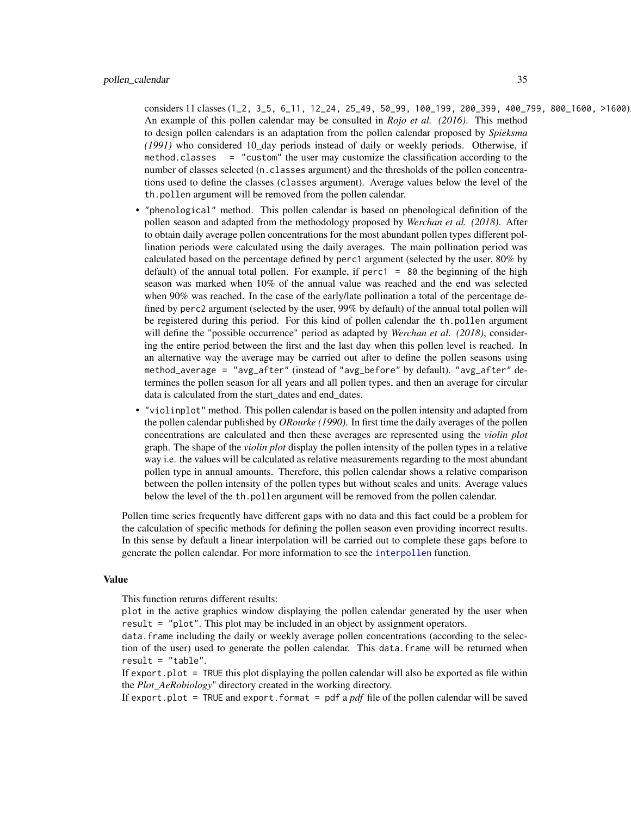<span id="page-34-0"></span>considers 11 classes (1\_2, 3\_5, 6\_11, 12\_24, 25\_49, 50\_99, 100\_199, 200\_399, 400\_799, 800\_1600, >1600). An example of this pollen calendar may be consulted in *Rojo et al. (2016)*. This method to design pollen calendars is an adaptation from the pollen calendar proposed by *Spieksma (1991)* who considered 10\_day periods instead of daily or weekly periods. Otherwise, if method.classes = "custom" the user may customize the classification according to the number of classes selected (n.classes argument) and the thresholds of the pollen concentrations used to define the classes (classes argument). Average values below the level of the th.pollen argument will be removed from the pollen calendar.

- "phenological" method. This pollen calendar is based on phenological definition of the pollen season and adapted from the methodology proposed by *Werchan et al. (2018)*. After to obtain daily average pollen concentrations for the most abundant pollen types different pollination periods were calculated using the daily averages. The main pollination period was calculated based on the percentage defined by perc1 argument (selected by the user, 80% by default) of the annual total pollen. For example, if perc1 =  $80$  the beginning of the high season was marked when 10% of the annual value was reached and the end was selected when 90% was reached. In the case of the early/late pollination a total of the percentage defined by perc2 argument (selected by the user, 99% by default) of the annual total pollen will be registered during this period. For this kind of pollen calendar the th.pollen argument will define the "possible occurrence" period as adapted by *Werchan et al. (2018)*, considering the entire period between the first and the last day when this pollen level is reached. In an alternative way the average may be carried out after to define the pollen seasons using method\_average = "avg\_after" (instead of "avg\_before" by default). "avg\_after" determines the pollen season for all years and all pollen types, and then an average for circular data is calculated from the start dates and end dates.
- "violinplot" method. This pollen calendar is based on the pollen intensity and adapted from the pollen calendar published by *ORourke (1990)*. In first time the daily averages of the pollen concentrations are calculated and then these averages are represented using the *violin plot* graph. The shape of the *violin plot* display the pollen intensity of the pollen types in a relative way i.e. the values will be calculated as relative measurements regarding to the most abundant pollen type in annual amounts. Therefore, this pollen calendar shows a relative comparison between the pollen intensity of the pollen types but without scales and units. Average values below the level of the th.pollen argument will be removed from the pollen calendar.

Pollen time series frequently have different gaps with no data and this fact could be a problem for the calculation of specific methods for defining the pollen season even providing incorrect results. In this sense by default a linear interpolation will be carried out to complete these gaps before to generate the pollen calendar. For more information to see the [interpollen](#page-10-1) function.

#### Value

This function returns different results:

plot in the active graphics window displaying the pollen calendar generated by the user when result = "plot". This plot may be included in an object by assignment operators.

data.frame including the daily or weekly average pollen concentrations (according to the selection of the user) used to generate the pollen calendar. This data.frame will be returned when  $result = "table".$ 

If export. plot  $=$  TRUE this plot displaying the pollen calendar will also be exported as file within the *Plot\_AeRobiology*" directory created in the working directory.

If export.plot = TRUE and export.format = pdf a *pdf* file of the pollen calendar will be saved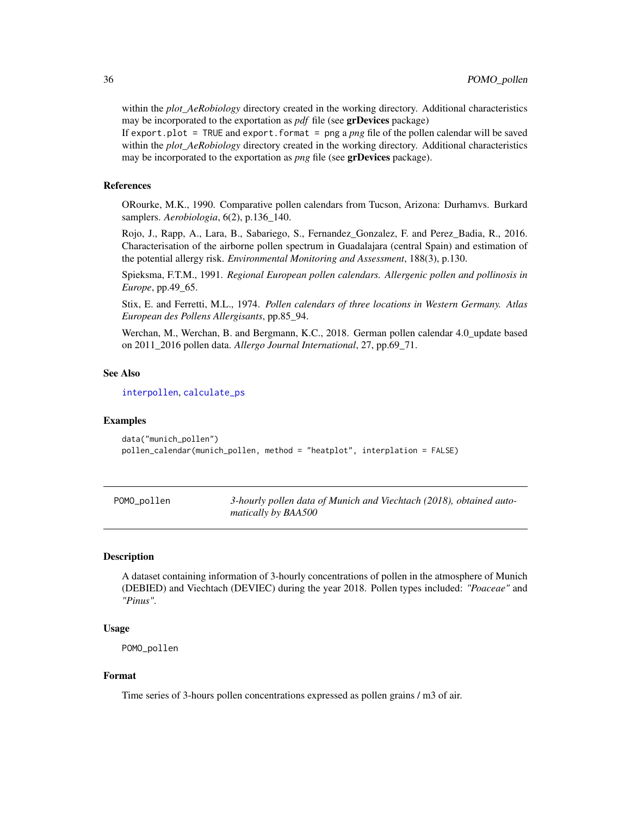within the *plot\_AeRobiology* directory created in the working directory. Additional characteristics may be incorporated to the exportation as *pdf* file (see grDevices package)

If export.plot = TRUE and export.format = png a *png* file of the pollen calendar will be saved within the *plot\_AeRobiology* directory created in the working directory. Additional characteristics may be incorporated to the exportation as *png* file (see grDevices package).

## References

ORourke, M.K., 1990. Comparative pollen calendars from Tucson, Arizona: Durhamvs. Burkard samplers. *Aerobiologia*, 6(2), p.136\_140.

Rojo, J., Rapp, A., Lara, B., Sabariego, S., Fernandez\_Gonzalez, F. and Perez\_Badia, R., 2016. Characterisation of the airborne pollen spectrum in Guadalajara (central Spain) and estimation of the potential allergy risk. *Environmental Monitoring and Assessment*, 188(3), p.130.

Spieksma, F.T.M., 1991. *Regional European pollen calendars. Allergenic pollen and pollinosis in Europe*, pp.49\_65.

Stix, E. and Ferretti, M.L., 1974. *Pollen calendars of three locations in Western Germany. Atlas European des Pollens Allergisants*, pp.85\_94.

Werchan, M., Werchan, B. and Bergmann, K.C., 2018. German pollen calendar 4.0\_update based on 2011\_2016 pollen data. *Allergo Journal International*, 27, pp.69\_71.

## See Also

[interpollen](#page-10-1), [calculate\\_ps](#page-4-1)

#### Examples

```
data("munich_pollen")
pollen_calendar(munich_pollen, method = "heatplot", interplation = FALSE)
```

| POMO_pollen | 3-hourly pollen data of Munich and Viechtach (2018), obtained auto- |
|-------------|---------------------------------------------------------------------|
|             | matically by BAA500                                                 |

## Description

A dataset containing information of 3-hourly concentrations of pollen in the atmosphere of Munich (DEBIED) and Viechtach (DEVIEC) during the year 2018. Pollen types included: *"Poaceae"* and *"Pinus"*.

## Usage

POMO\_pollen

# Format

Time series of 3-hours pollen concentrations expressed as pollen grains / m3 of air.

<span id="page-35-0"></span>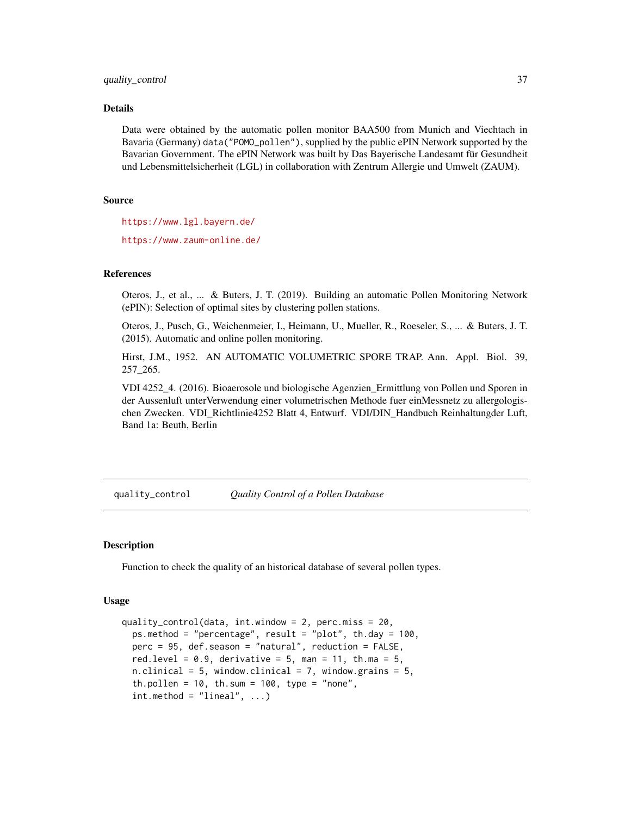<span id="page-36-0"></span>Data were obtained by the automatic pollen monitor BAA500 from Munich and Viechtach in Bavaria (Germany) data("POMO\_pollen"), supplied by the public ePIN Network supported by the Bavarian Government. The ePIN Network was built by Das Bayerische Landesamt für Gesundheit und Lebensmittelsicherheit (LGL) in collaboration with Zentrum Allergie und Umwelt (ZAUM).

## Source

<https://www.lgl.bayern.de/>

<https://www.zaum-online.de/>

#### References

Oteros, J., et al., ... & Buters, J. T. (2019). Building an automatic Pollen Monitoring Network (ePIN): Selection of optimal sites by clustering pollen stations.

Oteros, J., Pusch, G., Weichenmeier, I., Heimann, U., Mueller, R., Roeseler, S., ... & Buters, J. T. (2015). Automatic and online pollen monitoring.

Hirst, J.M., 1952. AN AUTOMATIC VOLUMETRIC SPORE TRAP. Ann. Appl. Biol. 39, 257\_265.

VDI 4252\_4. (2016). Bioaerosole und biologische Agenzien\_Ermittlung von Pollen und Sporen in der Aussenluft unterVerwendung einer volumetrischen Methode fuer einMessnetz zu allergologischen Zwecken. VDI\_Richtlinie4252 Blatt 4, Entwurf. VDI/DIN\_Handbuch Reinhaltungder Luft, Band 1a: Beuth, Berlin

<span id="page-36-1"></span>quality\_control *Quality Control of a Pollen Database*

#### Description

Function to check the quality of an historical database of several pollen types.

## Usage

```
quality_control(data, int.window = 2, perc.miss = 20,
 ps.method = "percentage", result = "plot", th.day = 100,
 perc = 95, def.season = "natural", reduction = FALSE,
 red.level = 0.9, derivative = 5, man = 11, th.ma = 5,
 n.clinical = 5, window.clinical = 7, window.grains = 5,
 th.pollen = 10, th.sum = 100, type = "none",
 int.method = "linear", ...)
```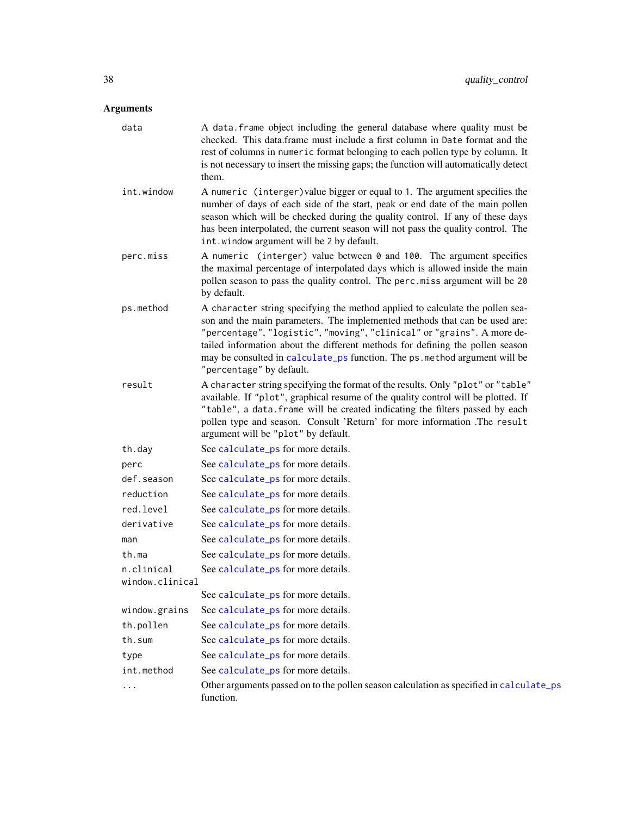<span id="page-37-0"></span>

| data                          | A data. frame object including the general database where quality must be<br>checked. This data.frame must include a first column in Date format and the<br>rest of columns in numeric format belonging to each pollen type by column. It<br>is not necessary to insert the missing gaps; the function will automatically detect<br>them.                                                                                        |
|-------------------------------|----------------------------------------------------------------------------------------------------------------------------------------------------------------------------------------------------------------------------------------------------------------------------------------------------------------------------------------------------------------------------------------------------------------------------------|
| int.window                    | A numeric (interger) value bigger or equal to 1. The argument specifies the<br>number of days of each side of the start, peak or end date of the main pollen<br>season which will be checked during the quality control. If any of these days<br>has been interpolated, the current season will not pass the quality control. The<br>int.window argument will be 2 by default.                                                   |
| perc.miss                     | A numeric (interger) value between 0 and 100. The argument specifies<br>the maximal percentage of interpolated days which is allowed inside the main<br>pollen season to pass the quality control. The perc.miss argument will be 20<br>by default.                                                                                                                                                                              |
| ps.method                     | A character string specifying the method applied to calculate the pollen sea-<br>son and the main parameters. The implemented methods that can be used are:<br>"percentage", "logistic", "moving", "clinical" or "grains". A more de-<br>tailed information about the different methods for defining the pollen season<br>may be consulted in calculate_ps function. The ps. method argument will be<br>"percentage" by default. |
| result                        | A character string specifying the format of the results. Only "plot" or "table"<br>available. If "plot", graphical resume of the quality control will be plotted. If<br>"table", a data. frame will be created indicating the filters passed by each<br>pollen type and season. Consult 'Return' for more information .The result<br>argument will be "plot" by default.                                                         |
| th.day                        | See calculate_ps for more details.                                                                                                                                                                                                                                                                                                                                                                                               |
| perc                          | See calculate_ps for more details.                                                                                                                                                                                                                                                                                                                                                                                               |
| def.season                    | See calculate_ps for more details.                                                                                                                                                                                                                                                                                                                                                                                               |
| reduction                     | See calculate_ps for more details.                                                                                                                                                                                                                                                                                                                                                                                               |
| red.level                     | See calculate_ps for more details.                                                                                                                                                                                                                                                                                                                                                                                               |
| derivative                    | See calculate_ps for more details.                                                                                                                                                                                                                                                                                                                                                                                               |
| man                           | See calculate_ps for more details.                                                                                                                                                                                                                                                                                                                                                                                               |
| th.ma                         | See calculate_ps for more details.                                                                                                                                                                                                                                                                                                                                                                                               |
| n.clinical<br>window.clinical | See calculate_ps for more details.                                                                                                                                                                                                                                                                                                                                                                                               |
|                               | See calculate_ps for more details.                                                                                                                                                                                                                                                                                                                                                                                               |
| window.grains                 | See calculate_ps for more details.                                                                                                                                                                                                                                                                                                                                                                                               |
| th.pollen                     | See calculate_ps for more details.                                                                                                                                                                                                                                                                                                                                                                                               |
| th.sum                        | See calculate_ps for more details.                                                                                                                                                                                                                                                                                                                                                                                               |
| type                          | See calculate_ps for more details.                                                                                                                                                                                                                                                                                                                                                                                               |
| int.method                    | See calculate_ps for more details.                                                                                                                                                                                                                                                                                                                                                                                               |
| $\cdots$                      | Other arguments passed on to the pollen season calculation as specified in calculate_ps<br>function.                                                                                                                                                                                                                                                                                                                             |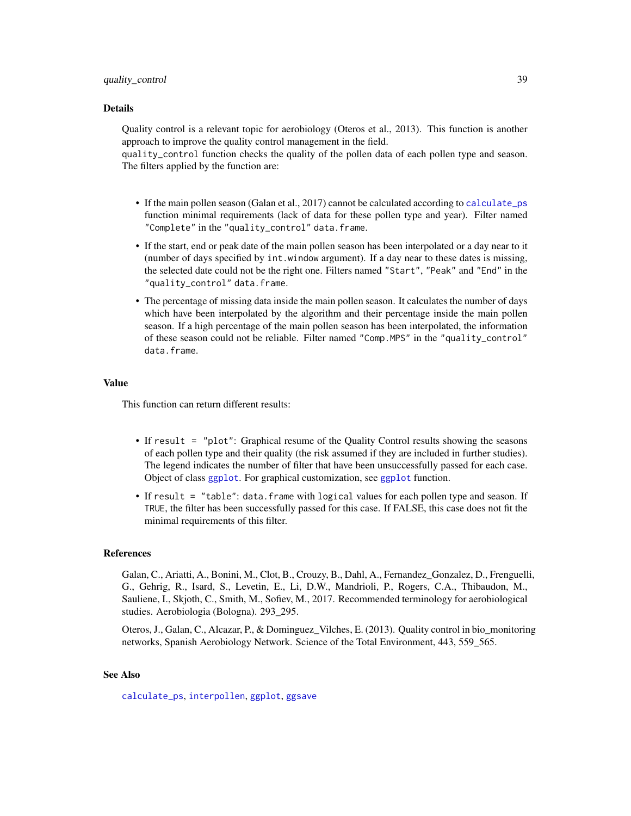<span id="page-38-0"></span>Quality control is a relevant topic for aerobiology (Oteros et al., 2013). This function is another approach to improve the quality control management in the field.

quality\_control function checks the quality of the pollen data of each pollen type and season. The filters applied by the function are:

- If the main pollen season (Galan et al., 2017) cannot be calculated according to [calculate\\_ps](#page-4-1) function minimal requirements (lack of data for these pollen type and year). Filter named "Complete" in the "quality\_control" data.frame.
- If the start, end or peak date of the main pollen season has been interpolated or a day near to it (number of days specified by int.window argument). If a day near to these dates is missing, the selected date could not be the right one. Filters named "Start", "Peak" and "End" in the "quality\_control" data.frame.
- The percentage of missing data inside the main pollen season. It calculates the number of days which have been interpolated by the algorithm and their percentage inside the main pollen season. If a high percentage of the main pollen season has been interpolated, the information of these season could not be reliable. Filter named "Comp.MPS" in the "quality\_control" data.frame.

#### Value

This function can return different results:

- If result = "plot": Graphical resume of the Quality Control results showing the seasons of each pollen type and their quality (the risk assumed if they are included in further studies). The legend indicates the number of filter that have been unsuccessfully passed for each case. Object of class [ggplot](#page-0-0). For graphical customization, see [ggplot](#page-0-0) function.
- If result = "table": data.frame with logical values for each pollen type and season. If TRUE, the filter has been successfully passed for this case. If FALSE, this case does not fit the minimal requirements of this filter.

## References

Galan, C., Ariatti, A., Bonini, M., Clot, B., Crouzy, B., Dahl, A., Fernandez\_Gonzalez, D., Frenguelli, G., Gehrig, R., Isard, S., Levetin, E., Li, D.W., Mandrioli, P., Rogers, C.A., Thibaudon, M., Sauliene, I., Skjoth, C., Smith, M., Sofiev, M., 2017. Recommended terminology for aerobiological studies. Aerobiologia (Bologna). 293\_295.

Oteros, J., Galan, C., Alcazar, P., & Dominguez\_Vilches, E. (2013). Quality control in bio\_monitoring networks, Spanish Aerobiology Network. Science of the Total Environment, 443, 559\_565.

## See Also

[calculate\\_ps](#page-4-1), [interpollen](#page-10-1), [ggplot](#page-0-0), [ggsave](#page-0-0)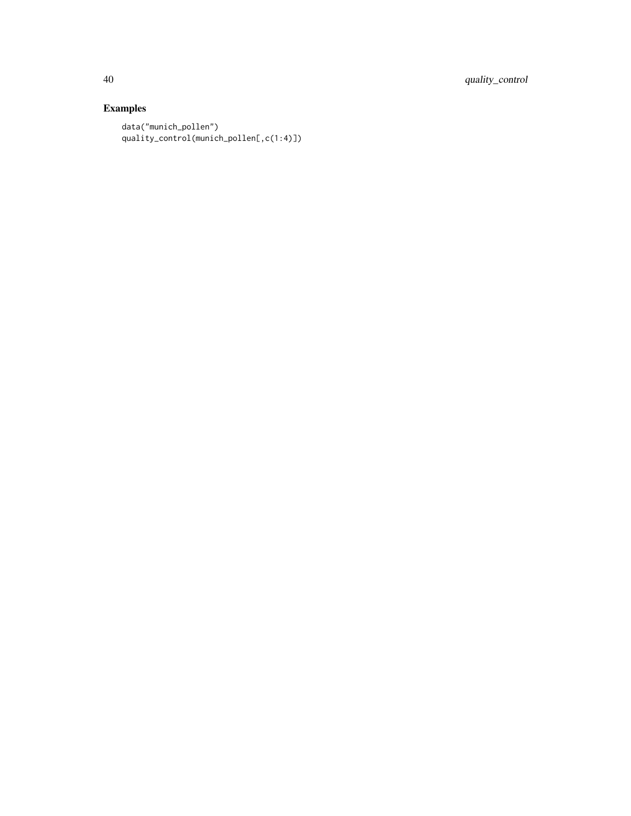40 quality\_control

# Examples

```
data("munich_pollen")
quality_control(munich_pollen[,c(1:4)])
```